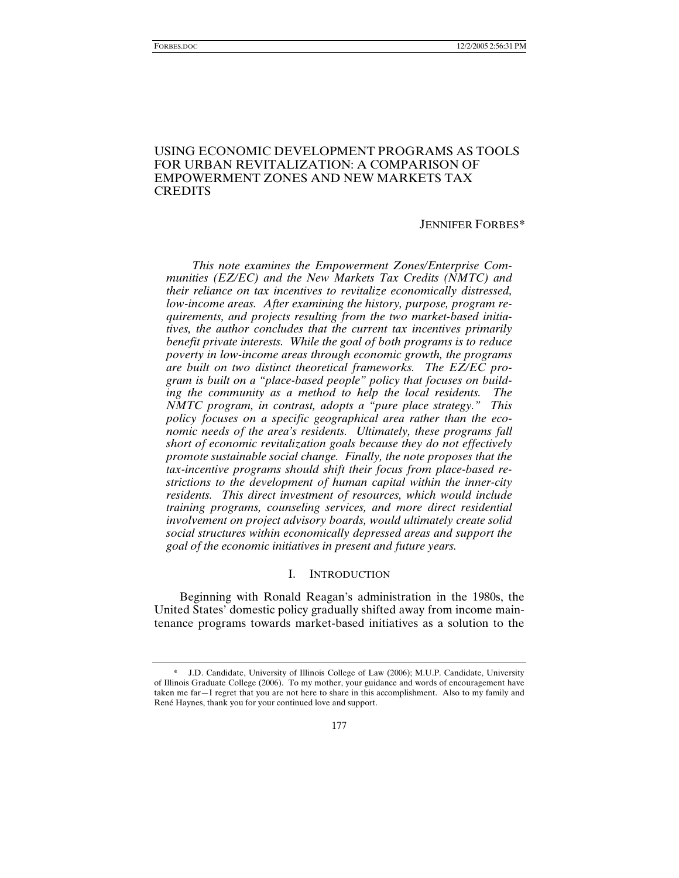## USING ECONOMIC DEVELOPMENT PROGRAMS AS TOOLS FOR URBAN REVITALIZATION: A COMPARISON OF EMPOWERMENT ZONES AND NEW MARKETS TAX **CREDITS**

#### JENNIFER FORBES*\**

*This note examines the Empowerment Zones/Enterprise Communities (EZ/EC) and the New Markets Tax Credits (NMTC) and their reliance on tax incentives to revitalize economically distressed, low-income areas. After examining the history, purpose, program requirements, and projects resulting from the two market-based initiatives, the author concludes that the current tax incentives primarily benefit private interests. While the goal of both programs is to reduce poverty in low-income areas through economic growth, the programs are built on two distinct theoretical frameworks. The EZ/EC program is built on a "place-based people" policy that focuses on building the community as a method to help the local residents. The NMTC program, in contrast, adopts a "pure place strategy." This policy focuses on a specific geographical area rather than the economic needs of the area's residents. Ultimately, these programs fall short of economic revitalization goals because they do not effectively promote sustainable social change. Finally, the note proposes that the tax-incentive programs should shift their focus from place-based restrictions to the development of human capital within the inner-city residents. This direct investment of resources, which would include training programs, counseling services, and more direct residential involvement on project advisory boards, would ultimately create solid social structures within economically depressed areas and support the goal of the economic initiatives in present and future years.* 

## I. INTRODUCTION

Beginning with Ronald Reagan's administration in the 1980s, the United States' domestic policy gradually shifted away from income maintenance programs towards market-based initiatives as a solution to the

 <sup>\*</sup> J.D. Candidate, University of Illinois College of Law (2006); M.U.P. Candidate, University of Illinois Graduate College (2006). To my mother, your guidance and words of encouragement have taken me far—I regret that you are not here to share in this accomplishment. Also to my family and René Haynes, thank you for your continued love and support.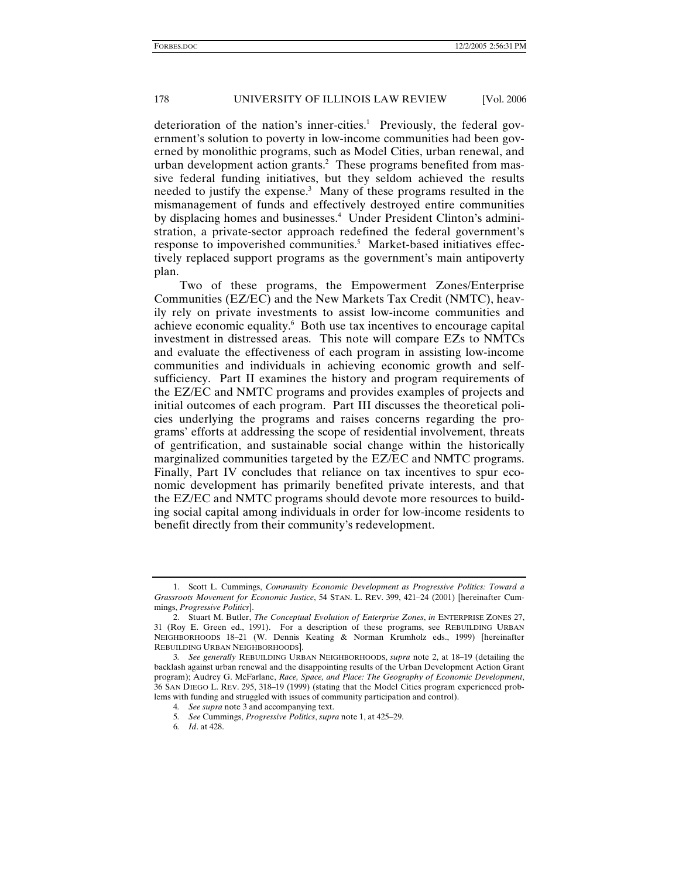deterioration of the nation's inner-cities.<sup>1</sup> Previously, the federal government's solution to poverty in low-income communities had been governed by monolithic programs, such as Model Cities, urban renewal, and urban development action grants.<sup>2</sup> These programs benefited from massive federal funding initiatives, but they seldom achieved the results needed to justify the expense.3 Many of these programs resulted in the mismanagement of funds and effectively destroyed entire communities by displacing homes and businesses.<sup>4</sup> Under President Clinton's administration, a private-sector approach redefined the federal government's response to impoverished communities.<sup>5</sup> Market-based initiatives effectively replaced support programs as the government's main antipoverty plan.

Two of these programs, the Empowerment Zones/Enterprise Communities (EZ/EC) and the New Markets Tax Credit (NMTC), heavily rely on private investments to assist low-income communities and achieve economic equality.<sup>6</sup> Both use tax incentives to encourage capital investment in distressed areas. This note will compare EZs to NMTCs and evaluate the effectiveness of each program in assisting low-income communities and individuals in achieving economic growth and selfsufficiency. Part II examines the history and program requirements of the EZ/EC and NMTC programs and provides examples of projects and initial outcomes of each program. Part III discusses the theoretical policies underlying the programs and raises concerns regarding the programs' efforts at addressing the scope of residential involvement, threats of gentrification, and sustainable social change within the historically marginalized communities targeted by the EZ/EC and NMTC programs. Finally, Part IV concludes that reliance on tax incentives to spur economic development has primarily benefited private interests, and that the EZ/EC and NMTC programs should devote more resources to building social capital among individuals in order for low-income residents to benefit directly from their community's redevelopment.

 <sup>1.</sup> Scott L. Cummings, *Community Economic Development as Progressive Politics: Toward a Grassroots Movement for Economic Justice*, 54 STAN. L. REV. 399, 421–24 (2001) [hereinafter Cummings, *Progressive Politics*].

 <sup>2.</sup> Stuart M. Butler, *The Conceptual Evolution of Enterprise Zones*, *in* ENTERPRISE ZONES 27, 31 (Roy E. Green ed., 1991). For a description of these programs, see REBUILDING URBAN NEIGHBORHOODS 18–21 (W. Dennis Keating & Norman Krumholz eds., 1999) [hereinafter REBUILDING URBAN NEIGHBORHOODS].

<sup>3</sup>*. See generally* REBUILDING URBAN NEIGHBORHOODS, *supra* note 2, at 18–19 (detailing the backlash against urban renewal and the disappointing results of the Urban Development Action Grant program); Audrey G. McFarlane, *Race, Space, and Place: The Geography of Economic Development*, 36 SAN DIEGO L. REV. 295, 318–19 (1999) (stating that the Model Cities program experienced problems with funding and struggled with issues of community participation and control).

<sup>4</sup>*. See supra* note 3 and accompanying text.

<sup>5</sup>*. See* Cummings, *Progressive Politics*, *supra* note 1, at 425–29.

<sup>6</sup>*. Id*. at 428.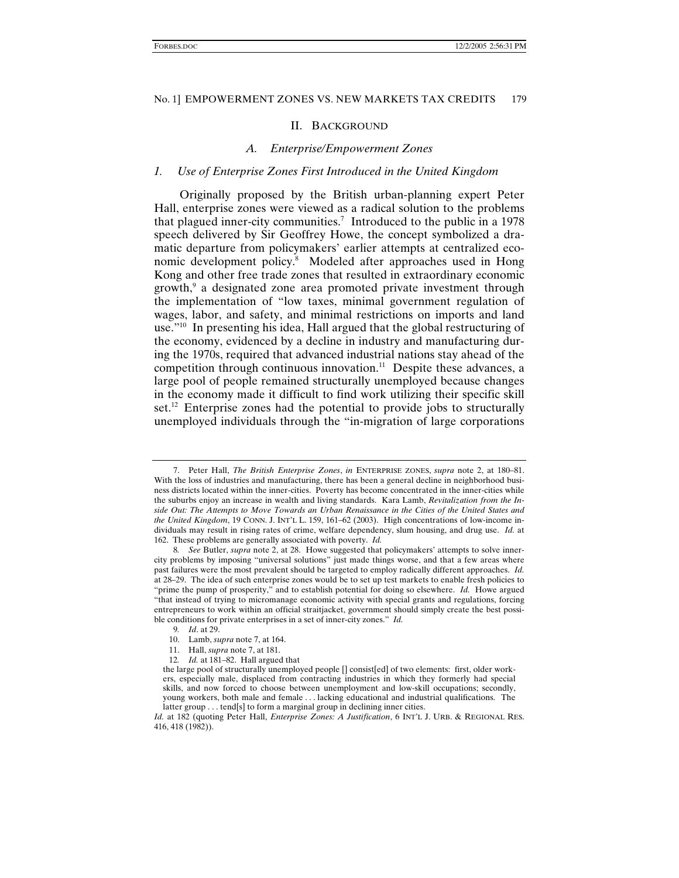#### II. BACKGROUND

### *A. Enterprise/Empowerment Zones*

#### *1. Use of Enterprise Zones First Introduced in the United Kingdom*

Originally proposed by the British urban-planning expert Peter Hall, enterprise zones were viewed as a radical solution to the problems that plagued inner-city communities.<sup>7</sup> Introduced to the public in a 1978 speech delivered by Sir Geoffrey Howe, the concept symbolized a dramatic departure from policymakers' earlier attempts at centralized economic development policy.<sup>8</sup> Modeled after approaches used in Hong Kong and other free trade zones that resulted in extraordinary economic growth,9 a designated zone area promoted private investment through the implementation of "low taxes, minimal government regulation of wages, labor, and safety, and minimal restrictions on imports and land use."10 In presenting his idea, Hall argued that the global restructuring of the economy, evidenced by a decline in industry and manufacturing during the 1970s, required that advanced industrial nations stay ahead of the competition through continuous innovation.<sup>11</sup> Despite these advances, a large pool of people remained structurally unemployed because changes in the economy made it difficult to find work utilizing their specific skill set.<sup>12</sup> Enterprise zones had the potential to provide jobs to structurally unemployed individuals through the "in-migration of large corporations

 <sup>7.</sup> Peter Hall, *The British Enterprise Zones*, *in* ENTERPRISE ZONES, *supra* note 2, at 180–81. With the loss of industries and manufacturing, there has been a general decline in neighborhood business districts located within the inner-cities. Poverty has become concentrated in the inner-cities while the suburbs enjoy an increase in wealth and living standards. Kara Lamb, *Revitalization from the Inside Out: The Attempts to Move Towards an Urban Renaissance in the Cities of the United States and the United Kingdom*, 19 CONN. J. INT'L L. 159, 161–62 (2003). High concentrations of low-income individuals may result in rising rates of crime, welfare dependency, slum housing, and drug use. *Id.* at 162. These problems are generally associated with poverty. *Id.* 

<sup>8</sup>*. See* Butler, *supra* note 2, at 28. Howe suggested that policymakers' attempts to solve innercity problems by imposing "universal solutions" just made things worse, and that a few areas where past failures were the most prevalent should be targeted to employ radically different approaches. *Id.* at 28–29. The idea of such enterprise zones would be to set up test markets to enable fresh policies to "prime the pump of prosperity," and to establish potential for doing so elsewhere. *Id.* Howe argued "that instead of trying to micromanage economic activity with special grants and regulations, forcing entrepreneurs to work within an official straitjacket, government should simply create the best possible conditions for private enterprises in a set of inner-city zones." *Id.*

<sup>9</sup>*. Id*. at 29.

 <sup>10.</sup> Lamb, *supra* note 7, at 164.

 <sup>11.</sup> Hall, *supra* note 7, at 181.

<sup>12</sup>*. Id.* at 181–82. Hall argued that

the large pool of structurally unemployed people [] consist[ed] of two elements: first, older workers, especially male, displaced from contracting industries in which they formerly had special skills, and now forced to choose between unemployment and low-skill occupations; secondly, young workers, both male and female . . . lacking educational and industrial qualifications. The latter group . . . tend[s] to form a marginal group in declining inner cities.

*Id.* at 182 (quoting Peter Hall, *Enterprise Zones: A Justification*, 6 INT'L J. URB. & REGIONAL RES. 416, 418 (1982)).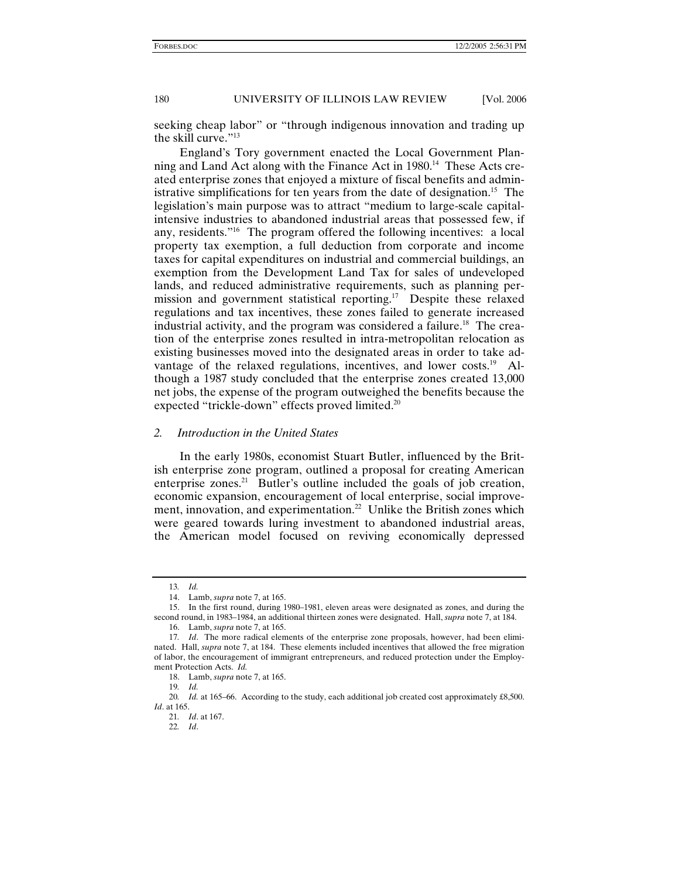seeking cheap labor" or "through indigenous innovation and trading up the skill curve."13

England's Tory government enacted the Local Government Planning and Land Act along with the Finance Act in 1980.<sup>14</sup> These Acts created enterprise zones that enjoyed a mixture of fiscal benefits and administrative simplifications for ten years from the date of designation.<sup>15</sup> The legislation's main purpose was to attract "medium to large-scale capitalintensive industries to abandoned industrial areas that possessed few, if any, residents."16 The program offered the following incentives: a local property tax exemption, a full deduction from corporate and income taxes for capital expenditures on industrial and commercial buildings, an exemption from the Development Land Tax for sales of undeveloped lands, and reduced administrative requirements, such as planning permission and government statistical reporting.<sup>17</sup> Despite these relaxed regulations and tax incentives, these zones failed to generate increased industrial activity, and the program was considered a failure.<sup>18</sup> The creation of the enterprise zones resulted in intra-metropolitan relocation as existing businesses moved into the designated areas in order to take advantage of the relaxed regulations, incentives, and lower costs.<sup>19</sup> Although a 1987 study concluded that the enterprise zones created 13,000 net jobs, the expense of the program outweighed the benefits because the expected "trickle-down" effects proved limited.<sup>20</sup>

## *2. Introduction in the United States*

In the early 1980s, economist Stuart Butler, influenced by the British enterprise zone program, outlined a proposal for creating American enterprise zones. $^{21}$  Butler's outline included the goals of job creation, economic expansion, encouragement of local enterprise, social improvement, innovation, and experimentation.<sup>22</sup> Unlike the British zones which were geared towards luring investment to abandoned industrial areas, the American model focused on reviving economically depressed

<sup>13</sup>*. Id.*

 <sup>14.</sup> Lamb, *supra* note 7, at 165.

 <sup>15.</sup> In the first round, during 1980–1981, eleven areas were designated as zones, and during the second round, in 1983–1984, an additional thirteen zones were designated. Hall, *supra* note 7, at 184.

 <sup>16.</sup> Lamb, *supra* note 7, at 165.

<sup>17</sup>*. Id*. The more radical elements of the enterprise zone proposals, however, had been eliminated. Hall, *supra* note 7, at 184. These elements included incentives that allowed the free migration of labor, the encouragement of immigrant entrepreneurs, and reduced protection under the Employment Protection Acts. *Id.*

 <sup>18.</sup> Lamb, *supra* note 7, at 165.

<sup>19</sup>*. Id.*

<sup>20</sup>*. Id.* at 165–66. According to the study, each additional job created cost approximately £8,500. *Id*. at 165.

<sup>21</sup>*. Id*. at 167.

<sup>22</sup>*. Id*.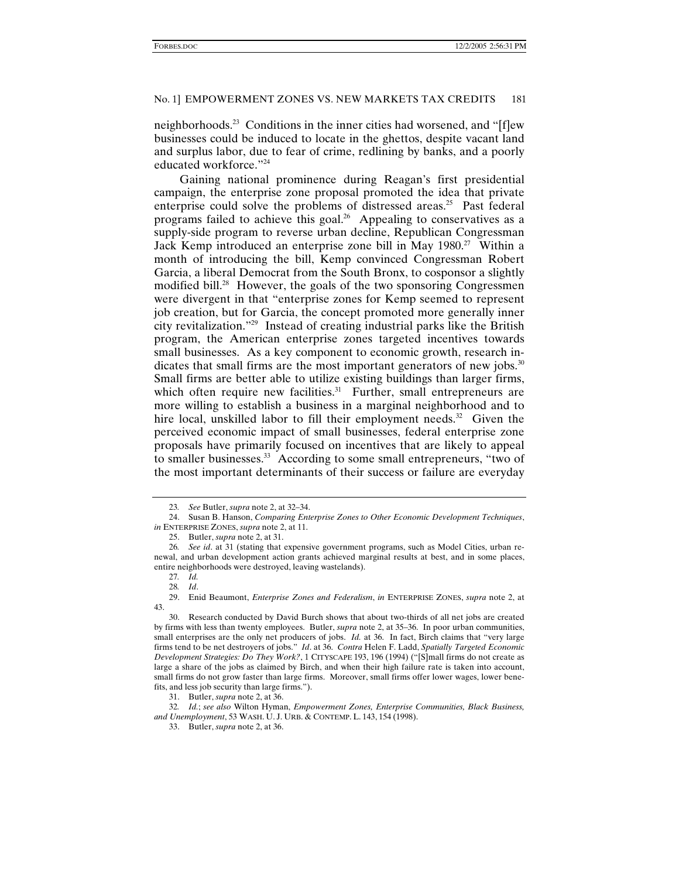neighborhoods.23 Conditions in the inner cities had worsened, and "[f]ew businesses could be induced to locate in the ghettos, despite vacant land and surplus labor, due to fear of crime, redlining by banks, and a poorly educated workforce."<sup>24</sup>

Gaining national prominence during Reagan's first presidential campaign, the enterprise zone proposal promoted the idea that private enterprise could solve the problems of distressed areas.<sup>25</sup> Past federal programs failed to achieve this goal.<sup>26</sup> Appealing to conservatives as a supply-side program to reverse urban decline, Republican Congressman Jack Kemp introduced an enterprise zone bill in May 1980.<sup>27</sup> Within a month of introducing the bill, Kemp convinced Congressman Robert Garcia, a liberal Democrat from the South Bronx, to cosponsor a slightly modified bill.<sup>28</sup> However, the goals of the two sponsoring Congressmen were divergent in that "enterprise zones for Kemp seemed to represent job creation, but for Garcia, the concept promoted more generally inner city revitalization."29 Instead of creating industrial parks like the British program, the American enterprise zones targeted incentives towards small businesses. As a key component to economic growth, research indicates that small firms are the most important generators of new jobs.<sup>30</sup> Small firms are better able to utilize existing buildings than larger firms, which often require new facilities.<sup>31</sup> Further, small entrepreneurs are more willing to establish a business in a marginal neighborhood and to hire local, unskilled labor to fill their employment needs. $32$  Given the perceived economic impact of small businesses, federal enterprise zone proposals have primarily focused on incentives that are likely to appeal to smaller businesses.<sup>33</sup> According to some small entrepreneurs, "two of the most important determinants of their success or failure are everyday

32*. Id.*; *see also* Wilton Hyman, *Empowerment Zones, Enterprise Communities, Black Business, and Unemployment*, 53 WASH. U. J. URB. & CONTEMP. L. 143, 154 (1998).

<sup>23</sup>*. See* Butler, *supra* note 2, at 32–34.

 <sup>24.</sup> Susan B. Hanson, *Comparing Enterprise Zones to Other Economic Development Techniques*, *in* ENTERPRISE ZONES, *supra* note 2, at 11.

 <sup>25.</sup> Butler, *supra* note 2, at 31.

<sup>26</sup>*. See id*. at 31 (stating that expensive government programs, such as Model Cities, urban renewal, and urban development action grants achieved marginal results at best, and in some places, entire neighborhoods were destroyed, leaving wastelands).

<sup>27</sup>*. Id.*

<sup>28</sup>*. Id*.

 <sup>29.</sup> Enid Beaumont, *Enterprise Zones and Federalism*, *in* ENTERPRISE ZONES, *supra* note 2, at 43.

 <sup>30.</sup> Research conducted by David Burch shows that about two-thirds of all net jobs are created by firms with less than twenty employees. Butler, *supra* note 2, at 35–36. In poor urban communities, small enterprises are the only net producers of jobs. *Id.* at 36. In fact, Birch claims that "very large firms tend to be net destroyers of jobs." *Id*. at 36. *Contra* Helen F. Ladd, *Spatially Targeted Economic Development Strategies: Do They Work?*, 1 CITYSCAPE 193, 196 (1994) ("[S]mall firms do not create as large a share of the jobs as claimed by Birch, and when their high failure rate is taken into account, small firms do not grow faster than large firms. Moreover, small firms offer lower wages, lower benefits, and less job security than large firms.").

 <sup>31.</sup> Butler, *supra* note 2, at 36.

 <sup>33.</sup> Butler, *supra* note 2, at 36.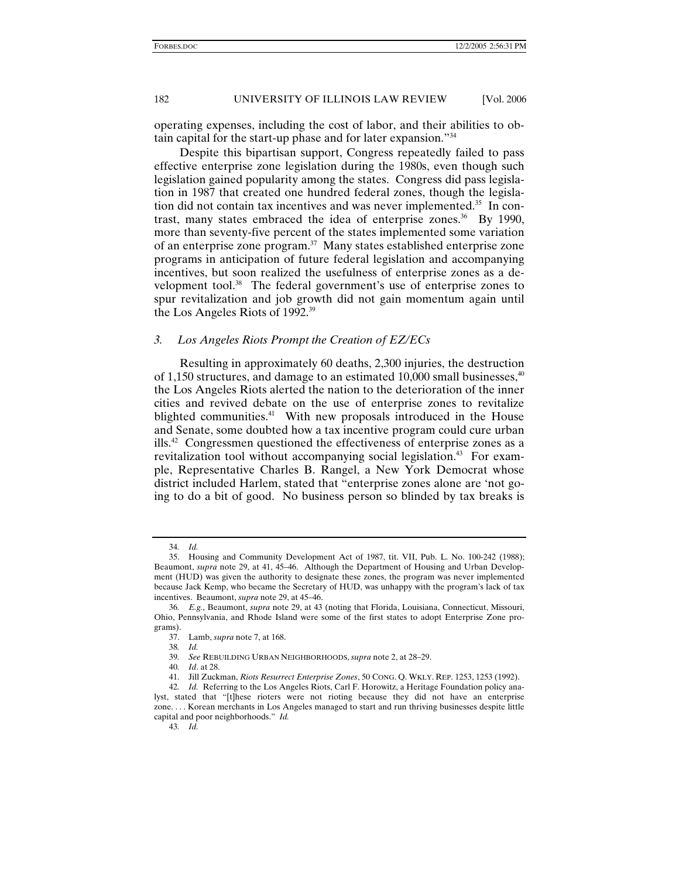operating expenses, including the cost of labor, and their abilities to obtain capital for the start-up phase and for later expansion."34

Despite this bipartisan support, Congress repeatedly failed to pass effective enterprise zone legislation during the 1980s, even though such legislation gained popularity among the states. Congress did pass legislation in 1987 that created one hundred federal zones, though the legislation did not contain tax incentives and was never implemented.<sup>35</sup> In contrast, many states embraced the idea of enterprise zones.<sup>36</sup> By 1990, more than seventy-five percent of the states implemented some variation of an enterprise zone program.<sup>37</sup> Many states established enterprise zone programs in anticipation of future federal legislation and accompanying incentives, but soon realized the usefulness of enterprise zones as a development tool.<sup>38</sup> The federal government's use of enterprise zones to spur revitalization and job growth did not gain momentum again until the Los Angeles Riots of 1992.39

## *3. Los Angeles Riots Prompt the Creation of EZ/ECs*

Resulting in approximately 60 deaths, 2,300 injuries, the destruction of 1,150 structures, and damage to an estimated  $10,000$  small businesses,  $40$ the Los Angeles Riots alerted the nation to the deterioration of the inner cities and revived debate on the use of enterprise zones to revitalize blighted communities.<sup>41</sup> With new proposals introduced in the House and Senate, some doubted how a tax incentive program could cure urban ills.<sup>42</sup> Congressmen questioned the effectiveness of enterprise zones as a revitalization tool without accompanying social legislation.<sup>43</sup> For example, Representative Charles B. Rangel, a New York Democrat whose district included Harlem, stated that "enterprise zones alone are 'not going to do a bit of good. No business person so blinded by tax breaks is

<sup>34</sup>*. Id.*

 <sup>35.</sup> Housing and Community Development Act of 1987, tit. VII, Pub. L. No. 100-242 (1988); Beaumont, *supra* note 29, at 41, 45–46. Although the Department of Housing and Urban Development (HUD) was given the authority to designate these zones, the program was never implemented because Jack Kemp, who became the Secretary of HUD, was unhappy with the program's lack of tax incentives. Beaumont, *supra* note 29, at 45–46.

<sup>36</sup>*. E.g.*, Beaumont, *supra* note 29, at 43 (noting that Florida, Louisiana, Connecticut, Missouri, Ohio, Pennsylvania, and Rhode Island were some of the first states to adopt Enterprise Zone programs).

 <sup>37.</sup> Lamb, *supra* note 7, at 168.

<sup>38</sup>*. Id.*

<sup>39</sup>*. See* REBUILDING URBAN NEIGHBORHOODS, *supra* note 2, at 28–29.

<sup>40</sup>*. Id*. at 28.

 <sup>41.</sup> Jill Zuckman, *Riots Resurrect Enterprise Zones*, 50 CONG. Q. WKLY. REP. 1253, 1253 (1992).

<sup>42</sup>*. Id.* Referring to the Los Angeles Riots, Carl F. Horowitz, a Heritage Foundation policy analyst, stated that "[t]hese rioters were not rioting because they did not have an enterprise zone. . . . Korean merchants in Los Angeles managed to start and run thriving businesses despite little capital and poor neighborhoods." *Id.*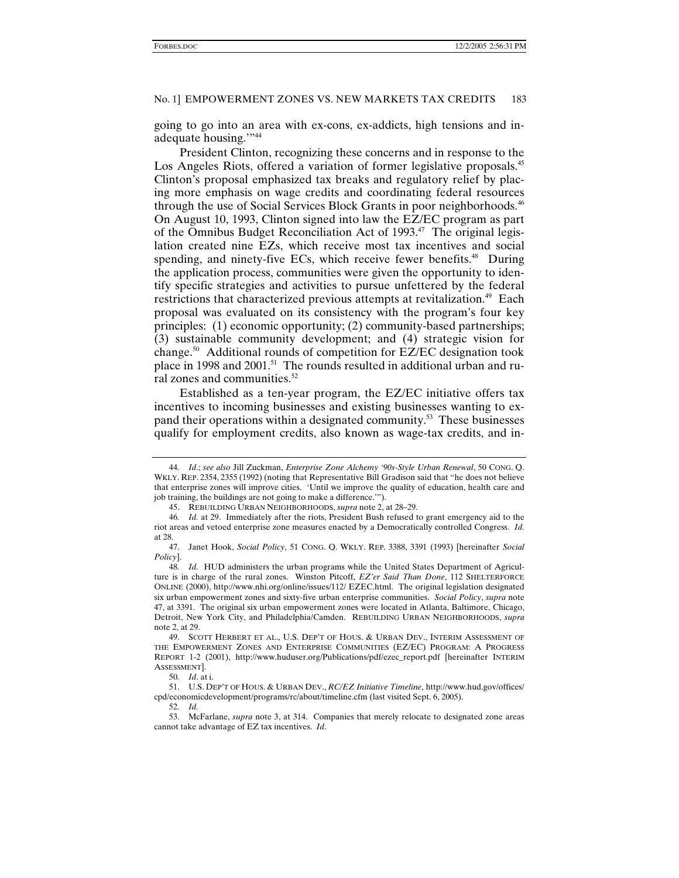going to go into an area with ex-cons, ex-addicts, high tensions and inadequate housing."<sup>44</sup>

President Clinton, recognizing these concerns and in response to the Los Angeles Riots, offered a variation of former legislative proposals.<sup>45</sup> Clinton's proposal emphasized tax breaks and regulatory relief by placing more emphasis on wage credits and coordinating federal resources through the use of Social Services Block Grants in poor neighborhoods.<sup>46</sup> On August 10, 1993, Clinton signed into law the EZ/EC program as part of the Omnibus Budget Reconciliation Act of 1993.<sup>47</sup> The original legislation created nine EZs, which receive most tax incentives and social spending, and ninety-five ECs, which receive fewer benefits.<sup>48</sup> During the application process, communities were given the opportunity to identify specific strategies and activities to pursue unfettered by the federal restrictions that characterized previous attempts at revitalization.<sup>49</sup> Each proposal was evaluated on its consistency with the program's four key principles: (1) economic opportunity; (2) community-based partnerships; (3) sustainable community development; and (4) strategic vision for change.50 Additional rounds of competition for EZ/EC designation took place in 1998 and 2001.<sup>51</sup> The rounds resulted in additional urban and rural zones and communities.<sup>52</sup>

Established as a ten-year program, the EZ/EC initiative offers tax incentives to incoming businesses and existing businesses wanting to expand their operations within a designated community.<sup>53</sup> These businesses qualify for employment credits, also known as wage-tax credits, and in-

<sup>44</sup>*. Id*.; *see also* Jill Zuckman, *Enterprise Zone Alchemy '90s-Style Urban Renewal*, 50 CONG. Q. WKLY. REP. 2354, 2355 (1992) (noting that Representative Bill Gradison said that "he does not believe that enterprise zones will improve cities. 'Until we improve the quality of education, health care and job training, the buildings are not going to make a difference.'").

 <sup>45.</sup> REBUILDING URBAN NEIGHBORHOODS, *supra* note 2, at 28–29.

<sup>46</sup>*. Id.* at 29. Immediately after the riots, President Bush refused to grant emergency aid to the riot areas and vetoed enterprise zone measures enacted by a Democratically controlled Congress. *Id.* at 28.<br> $\frac{47}{.}$ 

 <sup>47.</sup> Janet Hook, *Social Policy*, 51 CONG. Q. WKLY. REP. 3388, 3391 (1993) [hereinafter *Social Policy*].

<sup>48</sup>*. Id.* HUD administers the urban programs while the United States Department of Agriculture is in charge of the rural zones. Winston Pitcoff, *EZ'er Said Than Done*, 112 SHELTERFORCE ONLINE (2000), http://www.nhi.org/online/issues/112/ EZEC.html. The original legislation designated six urban empowerment zones and sixty-five urban enterprise communities. *Social Policy*, *supra* note 47, at 3391. The original six urban empowerment zones were located in Atlanta, Baltimore, Chicago, Detroit, New York City, and Philadelphia/Camden. REBUILDING URBAN NEIGHBORHOODS, *supra* note 2, at 29.

 <sup>49.</sup> SCOTT HERBERT ET AL., U.S. DEP'T OF HOUS. & URBAN DEV., INTERIM ASSESSMENT OF THE EMPOWERMENT ZONES AND ENTERPRISE COMMUNITIES (EZ/EC) PROGRAM: A PROGRESS REPORT 1-2 (2001), http://www.huduser.org/Publications/pdf/ezec\_report.pdf [hereinafter INTERIM ASSESSMENT].

<sup>50</sup>*. Id*. at i.

 <sup>51.</sup> U.S. DEP'T OF HOUS. & URBAN DEV., *RC/EZ Initiative Timeline*, http://www.hud.gov/offices/ cpd/economicdevelopment/programs/rc/about/timeline.cfm (last visited Sept. 6, 2005).

<sup>52</sup>*. Id.*

 <sup>53.</sup> McFarlane, *supra* note 3, at 314. Companies that merely relocate to designated zone areas cannot take advantage of EZ tax incentives. *Id*.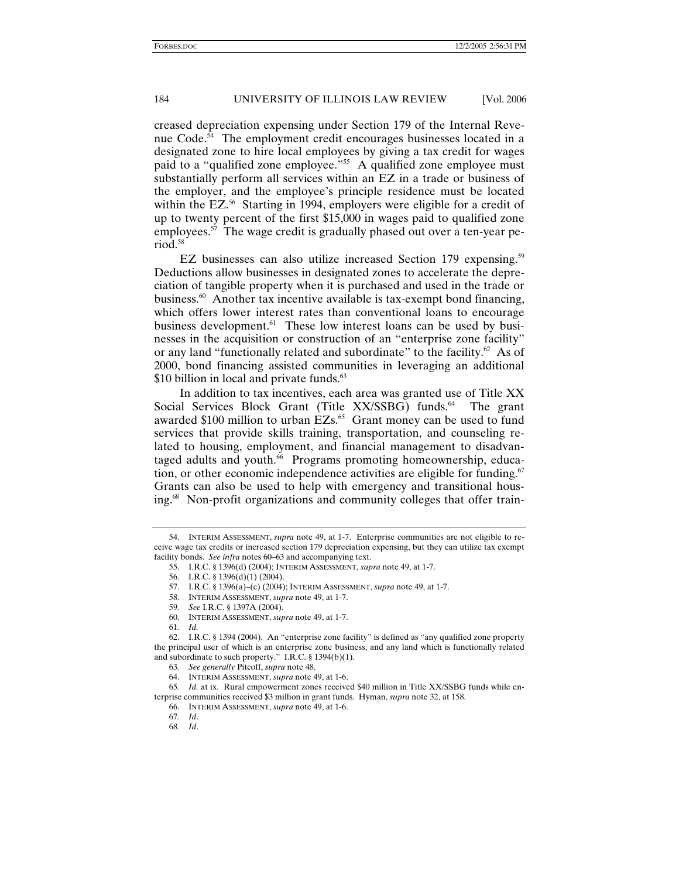creased depreciation expensing under Section 179 of the Internal Revenue Code.<sup>54</sup> The employment credit encourages businesses located in a designated zone to hire local employees by giving a tax credit for wages paid to a "qualified zone employee."<sup>55</sup> A qualified zone employee must substantially perform all services within an EZ in a trade or business of the employer, and the employee's principle residence must be located within the EZ.<sup>56</sup> Starting in 1994, employers were eligible for a credit of up to twenty percent of the first \$15,000 in wages paid to qualified zone employees.<sup>57</sup> The wage credit is gradually phased out over a ten-year period.58

EZ businesses can also utilize increased Section 179 expensing.<sup>59</sup> Deductions allow businesses in designated zones to accelerate the depreciation of tangible property when it is purchased and used in the trade or business.<sup>60</sup> Another tax incentive available is tax-exempt bond financing, which offers lower interest rates than conventional loans to encourage business development.<sup>61</sup> These low interest loans can be used by businesses in the acquisition or construction of an "enterprise zone facility" or any land "functionally related and subordinate" to the facility.<sup>62</sup> As of 2000, bond financing assisted communities in leveraging an additional \$10 billion in local and private funds.<sup>63</sup>

In addition to tax incentives, each area was granted use of Title XX Social Services Block Grant (Title XX/SSBG) funds.<sup>64</sup> The grant awarded \$100 million to urban EZs.<sup>65</sup> Grant money can be used to fund services that provide skills training, transportation, and counseling related to housing, employment, and financial management to disadvantaged adults and youth.<sup>66</sup> Programs promoting homeownership, education, or other economic independence activities are eligible for funding.<sup>67</sup> Grants can also be used to help with emergency and transitional housing.<sup>68</sup> Non-profit organizations and community colleges that offer train-

 <sup>54.</sup> INTERIM ASSESSMENT, *supra* note 49, at 1-7. Enterprise communities are not eligible to receive wage tax credits or increased section 179 depreciation expensing, but they can utilize tax exempt facility bonds. *See infra* notes 60–63 and accompanying text.

 <sup>55.</sup> I.R.C. § 1396(d) (2004); INTERIM ASSESSMENT, *supra* note 49, at 1-7.

 <sup>56.</sup> I.R.C. § 1396(d)(1) (2004).

 <sup>57.</sup> I.R.C. § 1396(a)–(c) (2004); INTERIM ASSESSMENT, *supra* note 49, at 1-7.

 <sup>58.</sup> INTERIM ASSESSMENT, *supra* note 49, at 1-7.

<sup>59</sup>*. See* I.R.C. § 1397A (2004).

 <sup>60.</sup> INTERIM ASSESSMENT, *supra* note 49, at 1-7.

<sup>61</sup>*. Id.*

 <sup>62.</sup> I.R.C. § 1394 (2004). An "enterprise zone facility" is defined as "any qualified zone property the principal user of which is an enterprise zone business, and any land which is functionally related and subordinate to such property." I.R.C. § 1394(b)(1).

<sup>63</sup>*. See generally* Pitcoff, *supra* note 48.

 <sup>64.</sup> INTERIM ASSESSMENT, *supra* note 49, at 1-6.

<sup>65</sup>*. Id.* at ix. Rural empowerment zones received \$40 million in Title XX/SSBG funds while enterprise communities received \$3 million in grant funds. Hyman, *supra* note 32, at 158.

 <sup>66.</sup> INTERIM ASSESSMENT, *supra* note 49, at 1-6.

<sup>67</sup>*. Id*.

<sup>68</sup>*. Id*.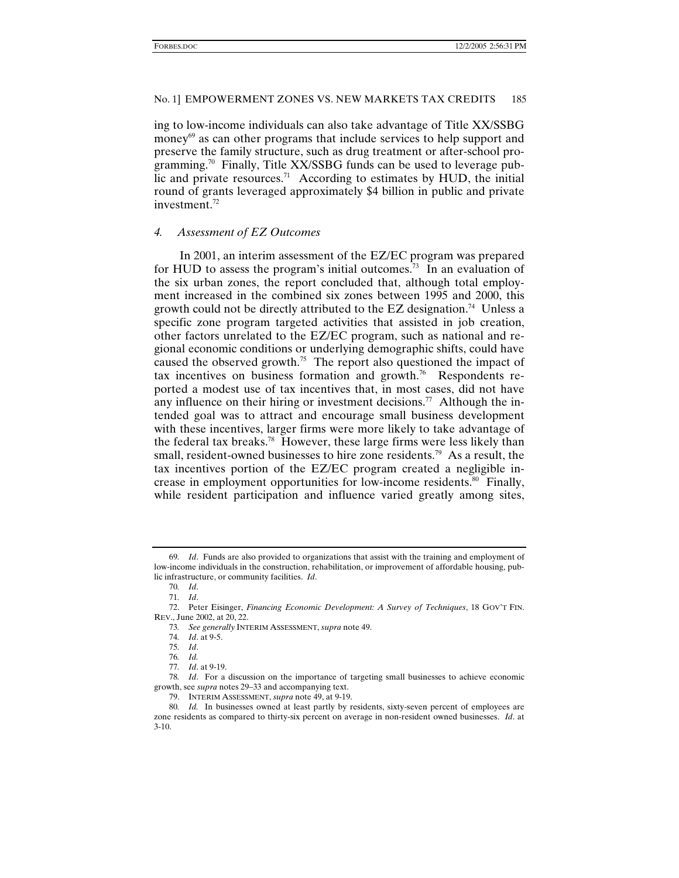ing to low-income individuals can also take advantage of Title XX/SSBG money $69$  as can other programs that include services to help support and preserve the family structure, such as drug treatment or after-school programming.<sup>70</sup> Finally, Title XX/SSBG funds can be used to leverage public and private resources.<sup>71</sup> According to estimates by HUD, the initial round of grants leveraged approximately \$4 billion in public and private investment. $72$ 

## *4. Assessment of EZ Outcomes*

In 2001, an interim assessment of the EZ/EC program was prepared for HUD to assess the program's initial outcomes.<sup>73</sup> In an evaluation of the six urban zones, the report concluded that, although total employment increased in the combined six zones between 1995 and 2000, this growth could not be directly attributed to the EZ designation.<sup>74</sup> Unless a specific zone program targeted activities that assisted in job creation, other factors unrelated to the EZ/EC program, such as national and regional economic conditions or underlying demographic shifts, could have caused the observed growth.<sup>75</sup> The report also questioned the impact of tax incentives on business formation and growth.76 Respondents reported a modest use of tax incentives that, in most cases, did not have any influence on their hiring or investment decisions.<sup>77</sup> Although the intended goal was to attract and encourage small business development with these incentives, larger firms were more likely to take advantage of the federal tax breaks.78 However, these large firms were less likely than small, resident-owned businesses to hire zone residents.<sup>79</sup> As a result, the tax incentives portion of the EZ/EC program created a negligible increase in employment opportunities for low-income residents.<sup>80</sup> Finally, while resident participation and influence varied greatly among sites,

<sup>69</sup>*. Id*. Funds are also provided to organizations that assist with the training and employment of low-income individuals in the construction, rehabilitation, or improvement of affordable housing, public infrastructure, or community facilities. *Id*.

<sup>70</sup>*. Id*.

<sup>71</sup>*. Id*.

 <sup>72.</sup> Peter Eisinger, *Financing Economic Development: A Survey of Techniques*, 18 GOV'T FIN. REV., June 2002, at 20, 22.

<sup>73</sup>*. See generally* INTERIM ASSESSMENT, *supra* note 49.

<sup>74</sup>*. Id*. at 9-5.

<sup>75</sup>*. Id*.

<sup>76</sup>*. Id.*

<sup>77</sup>*. Id*. at 9-19.

<sup>78</sup>*. Id*. For a discussion on the importance of targeting small businesses to achieve economic growth, see *supra* notes 29–33 and accompanying text.

 <sup>79.</sup> INTERIM ASSESSMENT, *supra* note 49, at 9-19.

<sup>80</sup>*. Id.* In businesses owned at least partly by residents, sixty-seven percent of employees are zone residents as compared to thirty-six percent on average in non-resident owned businesses. *Id*. at 3-10.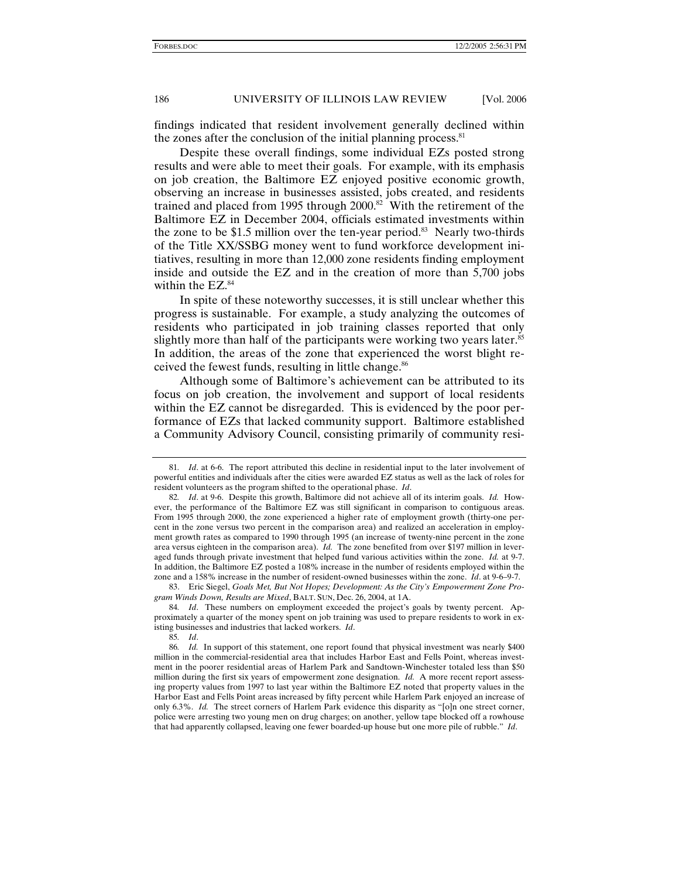findings indicated that resident involvement generally declined within the zones after the conclusion of the initial planning process.<sup>81</sup>

Despite these overall findings, some individual EZs posted strong results and were able to meet their goals. For example, with its emphasis on job creation, the Baltimore EZ enjoyed positive economic growth, observing an increase in businesses assisted, jobs created, and residents trained and placed from 1995 through  $2000$ .<sup>82</sup> With the retirement of the Baltimore EZ in December 2004, officials estimated investments within the zone to be \$1.5 million over the ten-year period.<sup>83</sup> Nearly two-thirds of the Title XX/SSBG money went to fund workforce development initiatives, resulting in more than 12,000 zone residents finding employment inside and outside the EZ and in the creation of more than 5,700 jobs within the EZ.<sup>84</sup>

In spite of these noteworthy successes, it is still unclear whether this progress is sustainable. For example, a study analyzing the outcomes of residents who participated in job training classes reported that only slightly more than half of the participants were working two years later.<sup>85</sup> In addition, the areas of the zone that experienced the worst blight received the fewest funds, resulting in little change.<sup>86</sup>

Although some of Baltimore's achievement can be attributed to its focus on job creation, the involvement and support of local residents within the EZ cannot be disregarded. This is evidenced by the poor performance of EZs that lacked community support. Baltimore established a Community Advisory Council, consisting primarily of community resi-

 83. Eric Siegel, *Goals Met, But Not Hopes; Development: As the City's Empowerment Zone Program Winds Down, Results are Mixed*, BALT. SUN, Dec. 26, 2004, at 1A.

84*. Id*. These numbers on employment exceeded the project's goals by twenty percent. Approximately a quarter of the money spent on job training was used to prepare residents to work in existing businesses and industries that lacked workers. *Id*.

85*. Id*.

<sup>81</sup>*. Id*. at 6-6. The report attributed this decline in residential input to the later involvement of powerful entities and individuals after the cities were awarded EZ status as well as the lack of roles for resident volunteers as the program shifted to the operational phase. *Id*.

<sup>82</sup>*. Id*. at 9-6. Despite this growth, Baltimore did not achieve all of its interim goals. *Id.* However, the performance of the Baltimore EZ was still significant in comparison to contiguous areas. From 1995 through 2000, the zone experienced a higher rate of employment growth (thirty-one percent in the zone versus two percent in the comparison area) and realized an acceleration in employment growth rates as compared to 1990 through 1995 (an increase of twenty-nine percent in the zone area versus eighteen in the comparison area). *Id.* The zone benefited from over \$197 million in leveraged funds through private investment that helped fund various activities within the zone. *Id.* at 9-7. In addition, the Baltimore EZ posted a 108% increase in the number of residents employed within the zone and a 158% increase in the number of resident-owned businesses within the zone. *Id*. at 9-6–9-7.

<sup>86</sup>*. Id.* In support of this statement, one report found that physical investment was nearly \$400 million in the commercial-residential area that includes Harbor East and Fells Point, whereas investment in the poorer residential areas of Harlem Park and Sandtown-Winchester totaled less than \$50 million during the first six years of empowerment zone designation. *Id.* A more recent report assessing property values from 1997 to last year within the Baltimore EZ noted that property values in the Harbor East and Fells Point areas increased by fifty percent while Harlem Park enjoyed an increase of only 6.3%. *Id.* The street corners of Harlem Park evidence this disparity as "[o]n one street corner, police were arresting two young men on drug charges; on another, yellow tape blocked off a rowhouse that had apparently collapsed, leaving one fewer boarded-up house but one more pile of rubble." *Id*.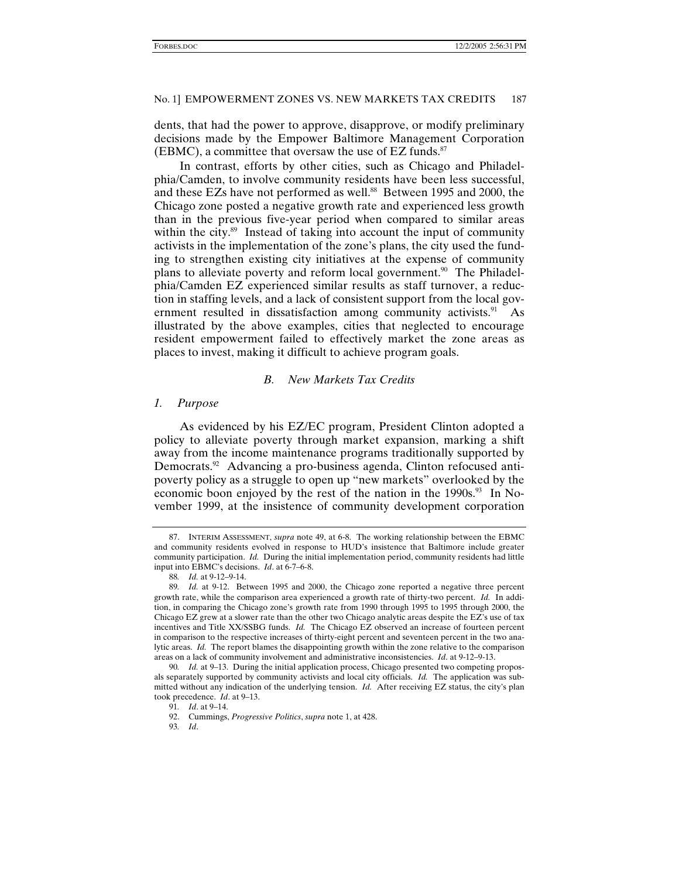dents, that had the power to approve, disapprove, or modify preliminary decisions made by the Empower Baltimore Management Corporation (EBMC), a committee that oversaw the use of EZ funds. $87$ 

In contrast, efforts by other cities, such as Chicago and Philadelphia/Camden, to involve community residents have been less successful, and these EZs have not performed as well.<sup>88</sup> Between 1995 and 2000, the Chicago zone posted a negative growth rate and experienced less growth than in the previous five-year period when compared to similar areas within the city. $89$  Instead of taking into account the input of community activists in the implementation of the zone's plans, the city used the funding to strengthen existing city initiatives at the expense of community plans to alleviate poverty and reform local government.90 The Philadelphia/Camden EZ experienced similar results as staff turnover, a reduction in staffing levels, and a lack of consistent support from the local government resulted in dissatisfaction among community activists. $91$  As illustrated by the above examples, cities that neglected to encourage resident empowerment failed to effectively market the zone areas as places to invest, making it difficult to achieve program goals.

#### *B. New Markets Tax Credits*

#### *1. Purpose*

As evidenced by his EZ/EC program, President Clinton adopted a policy to alleviate poverty through market expansion, marking a shift away from the income maintenance programs traditionally supported by Democrats.<sup>92</sup> Advancing a pro-business agenda, Clinton refocused antipoverty policy as a struggle to open up "new markets" overlooked by the economic boon enjoyed by the rest of the nation in the 1990s.<sup>93</sup> In November 1999, at the insistence of community development corporation

 <sup>87.</sup> INTERIM ASSESSMENT, *supra* note 49, at 6-8. The working relationship between the EBMC and community residents evolved in response to HUD's insistence that Baltimore include greater community participation. *Id.* During the initial implementation period, community residents had little input into EBMC's decisions. *Id*. at 6-7–6-8.

<sup>88</sup>*. Id.* at 9-12–9-14.

<sup>89</sup>*. Id.* at 9-12. Between 1995 and 2000, the Chicago zone reported a negative three percent growth rate, while the comparison area experienced a growth rate of thirty-two percent. *Id.* In addition, in comparing the Chicago zone's growth rate from 1990 through 1995 to 1995 through 2000, the Chicago EZ grew at a slower rate than the other two Chicago analytic areas despite the EZ's use of tax incentives and Title XX/SSBG funds. *Id.* The Chicago EZ observed an increase of fourteen percent in comparison to the respective increases of thirty-eight percent and seventeen percent in the two analytic areas. *Id.* The report blames the disappointing growth within the zone relative to the comparison areas on a lack of community involvement and administrative inconsistencies. *Id*. at 9-12–9-13.

<sup>90</sup>*. Id.* at 9–13. During the initial application process, Chicago presented two competing proposals separately supported by community activists and local city officials. *Id.* The application was submitted without any indication of the underlying tension. *Id.* After receiving EZ status, the city's plan took precedence. *Id*. at 9–13.

<sup>91</sup>*. Id*. at 9–14.

 <sup>92.</sup> Cummings, *Progressive Politics*, *supra* note 1, at 428.

<sup>93</sup>*. Id*.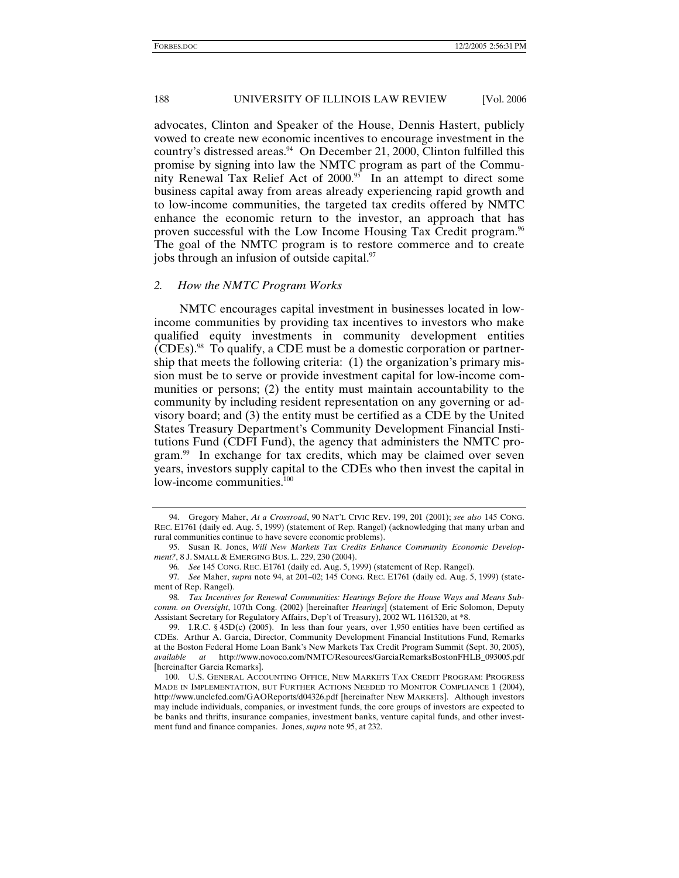advocates, Clinton and Speaker of the House, Dennis Hastert, publicly vowed to create new economic incentives to encourage investment in the country's distressed areas. $94$  On December 21, 2000, Clinton fulfilled this promise by signing into law the NMTC program as part of the Community Renewal Tax Relief Act of 2000.<sup>95</sup> In an attempt to direct some business capital away from areas already experiencing rapid growth and to low-income communities, the targeted tax credits offered by NMTC enhance the economic return to the investor, an approach that has proven successful with the Low Income Housing Tax Credit program.96 The goal of the NMTC program is to restore commerce and to create jobs through an infusion of outside capital.<sup>97</sup>

## *2. How the NMTC Program Works*

NMTC encourages capital investment in businesses located in lowincome communities by providing tax incentives to investors who make qualified equity investments in community development entities  $(CDEs)$ .<sup>98</sup> To qualify, a CDE must be a domestic corporation or partnership that meets the following criteria: (1) the organization's primary mission must be to serve or provide investment capital for low-income communities or persons; (2) the entity must maintain accountability to the community by including resident representation on any governing or advisory board; and (3) the entity must be certified as a CDE by the United States Treasury Department's Community Development Financial Institutions Fund (CDFI Fund), the agency that administers the NMTC program.<sup>99</sup> In exchange for tax credits, which may be claimed over seven years, investors supply capital to the CDEs who then invest the capital in low-income communities.<sup>100</sup>

 <sup>94.</sup> Gregory Maher, *At a Crossroad*, 90 NAT'L CIVIC REV. 199, 201 (2001); *see also* 145 CONG. REC. E1761 (daily ed. Aug. 5, 1999) (statement of Rep. Rangel) (acknowledging that many urban and rural communities continue to have severe economic problems).

 <sup>95.</sup> Susan R. Jones, *Will New Markets Tax Credits Enhance Community Economic Development?*, 8 J. SMALL & EMERGING BUS. L. 229, 230 (2004).

<sup>96</sup>*. See* 145 CONG. REC. E1761 (daily ed. Aug. 5, 1999) (statement of Rep. Rangel).

<sup>97</sup>*. See* Maher, *supra* note 94, at 201–02; 145 CONG. REC. E1761 (daily ed. Aug. 5, 1999) (statement of Rep. Rangel).

<sup>98</sup>*. Tax Incentives for Renewal Communities: Hearings Before the House Ways and Means Subcomm. on Oversight*, 107th Cong. (2002) [hereinafter *Hearings*] (statement of Eric Solomon, Deputy Assistant Secretary for Regulatory Affairs, Dep't of Treasury), 2002 WL 1161320, at \*8.

 <sup>99.</sup> I.R.C. § 45D(c) (2005). In less than four years, over 1,950 entities have been certified as CDEs. Arthur A. Garcia, Director, Community Development Financial Institutions Fund, Remarks at the Boston Federal Home Loan Bank's New Markets Tax Credit Program Summit (Sept. 30, 2005), *available at* http://www.novoco.com/NMTC/Resources/GarciaRemarksBostonFHLB\_093005.pdf [hereinafter Garcia Remarks].

 <sup>100.</sup> U.S. GENERAL ACCOUNTING OFFICE, NEW MARKETS TAX CREDIT PROGRAM: PROGRESS MADE IN IMPLEMENTATION, BUT FURTHER ACTIONS NEEDED TO MONITOR COMPLIANCE 1 (2004), http://www.unclefed.com/GAOReports/d04326.pdf [hereinafter NEW MARKETS]. Although investors may include individuals, companies, or investment funds, the core groups of investors are expected to be banks and thrifts, insurance companies, investment banks, venture capital funds, and other investment fund and finance companies. Jones, *supra* note 95, at 232.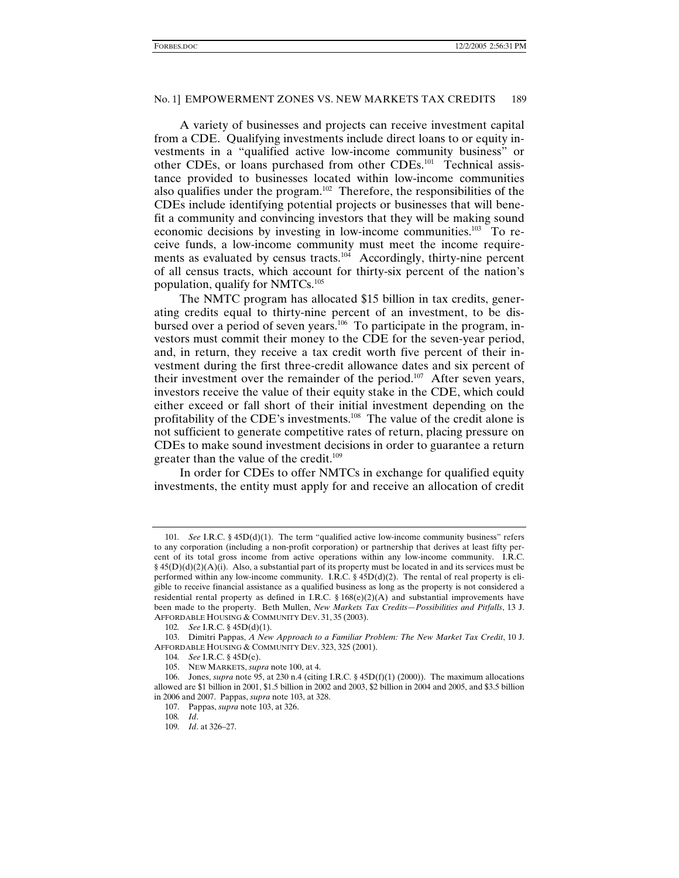A variety of businesses and projects can receive investment capital from a CDE. Qualifying investments include direct loans to or equity investments in a "qualified active low-income community business" or other CDEs, or loans purchased from other CDEs.101 Technical assistance provided to businesses located within low-income communities also qualifies under the program.<sup>102</sup> Therefore, the responsibilities of the CDEs include identifying potential projects or businesses that will benefit a community and convincing investors that they will be making sound economic decisions by investing in low-income communities.<sup>103</sup> To receive funds, a low-income community must meet the income requirements as evaluated by census tracts.<sup>104</sup> Accordingly, thirty-nine percent of all census tracts, which account for thirty-six percent of the nation's population, qualify for NMTCs.<sup>105</sup>

The NMTC program has allocated \$15 billion in tax credits, generating credits equal to thirty-nine percent of an investment, to be disbursed over a period of seven years.<sup>106</sup> To participate in the program, investors must commit their money to the CDE for the seven-year period, and, in return, they receive a tax credit worth five percent of their investment during the first three-credit allowance dates and six percent of their investment over the remainder of the period.<sup>107</sup> After seven years, investors receive the value of their equity stake in the CDE, which could either exceed or fall short of their initial investment depending on the profitability of the CDE's investments.108 The value of the credit alone is not sufficient to generate competitive rates of return, placing pressure on CDEs to make sound investment decisions in order to guarantee a return greater than the value of the credit.<sup>109</sup>

In order for CDEs to offer NMTCs in exchange for qualified equity investments, the entity must apply for and receive an allocation of credit

<sup>101</sup>*. See* I.R.C. § 45D(d)(1). The term "qualified active low-income community business" refers to any corporation (including a non-profit corporation) or partnership that derives at least fifty percent of its total gross income from active operations within any low-income community. I.R.C. § 45(D)(d)(2)(A)(i). Also, a substantial part of its property must be located in and its services must be performed within any low-income community. I.R.C. § 45D(d)(2). The rental of real property is eligible to receive financial assistance as a qualified business as long as the property is not considered a residential rental property as defined in I.R.C.  $\S 168(e)(2)(A)$  and substantial improvements have been made to the property. Beth Mullen, *New Markets Tax Credits—Possibilities and Pitfalls*, 13 J. AFFORDABLE HOUSING & COMMUNITY DEV. 31, 35 (2003).

<sup>102</sup>*. See* I.R.C. § 45D(d)(1).

 <sup>103.</sup> Dimitri Pappas, *A New Approach to a Familiar Problem: The New Market Tax Credit*, 10 J. AFFORDABLE HOUSING & COMMUNITY DEV. 323, 325 (2001).

<sup>104</sup>*. See* I.R.C. § 45D(e).

 <sup>105.</sup> NEW MARKETS, *supra* note 100, at 4.

 <sup>106.</sup> Jones, *supra* note 95, at 230 n.4 (citing I.R.C. § 45D(f)(1) (2000)). The maximum allocations allowed are \$1 billion in 2001, \$1.5 billion in 2002 and 2003, \$2 billion in 2004 and 2005, and \$3.5 billion in 2006 and 2007. Pappas, *supra* note 103, at 328.

 <sup>107.</sup> Pappas, *supra* note 103, at 326.

<sup>108</sup>*. Id*.

<sup>109</sup>*. Id*. at 326–27.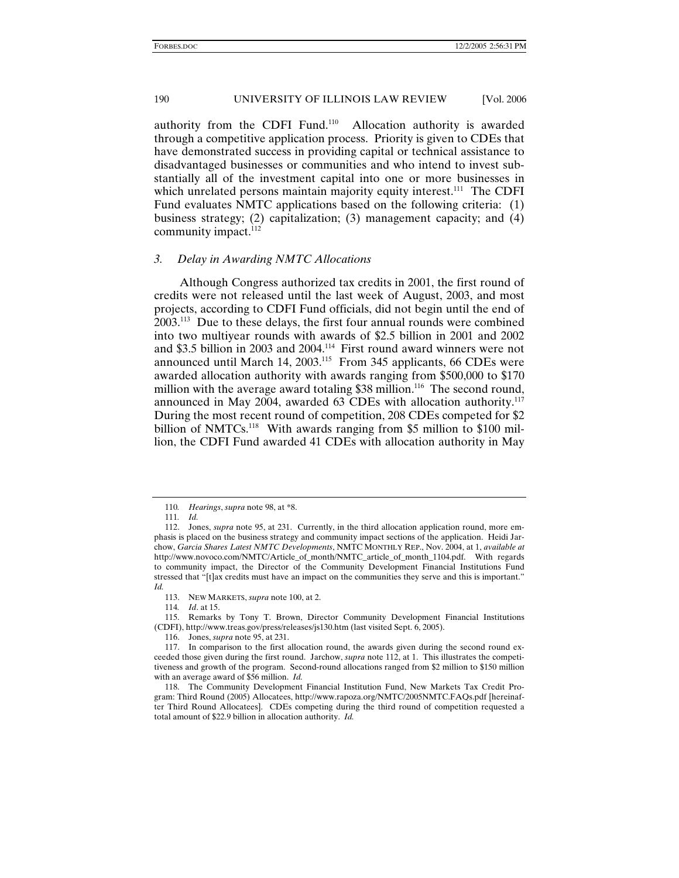authority from the CDFI Fund.110 Allocation authority is awarded through a competitive application process. Priority is given to CDEs that have demonstrated success in providing capital or technical assistance to disadvantaged businesses or communities and who intend to invest substantially all of the investment capital into one or more businesses in which unrelated persons maintain majority equity interest.<sup>111</sup> The CDFI Fund evaluates NMTC applications based on the following criteria: (1) business strategy; (2) capitalization; (3) management capacity; and (4) community impact.<sup>112</sup>

#### *3. Delay in Awarding NMTC Allocations*

Although Congress authorized tax credits in 2001, the first round of credits were not released until the last week of August, 2003, and most projects, according to CDFI Fund officials, did not begin until the end of 2003.113 Due to these delays, the first four annual rounds were combined into two multiyear rounds with awards of \$2.5 billion in 2001 and 2002 and \$3.5 billion in 2003 and 2004.114 First round award winners were not announced until March 14, 2003.115 From 345 applicants, 66 CDEs were awarded allocation authority with awards ranging from \$500,000 to \$170 million with the average award totaling  $$38$  million.<sup>116</sup> The second round, announced in May 2004, awarded 63 CDEs with allocation authority.<sup>117</sup> During the most recent round of competition, 208 CDEs competed for \$2 billion of NMTCs.<sup>118</sup> With awards ranging from \$5 million to \$100 million, the CDFI Fund awarded 41 CDEs with allocation authority in May

114*. Id*. at 15.

116. Jones, *supra* note 95, at 231.

<sup>110</sup>*. Hearings*, *supra* note 98, at \*8.

<sup>111</sup>*. Id.*

 <sup>112.</sup> Jones, *supra* note 95, at 231. Currently, in the third allocation application round, more emphasis is placed on the business strategy and community impact sections of the application. Heidi Jarchow, *Garcia Shares Latest NMTC Developments*, NMTC MONTHLY REP., Nov. 2004, at 1, *available at* http://www.novoco.com/NMTC/Article\_of\_month/NMTC\_article\_of\_month\_1104.pdf. With regards to community impact, the Director of the Community Development Financial Institutions Fund stressed that "[t]ax credits must have an impact on the communities they serve and this is important." *Id.* 

 <sup>113.</sup> NEW MARKETS, *supra* note 100, at 2.

 <sup>115.</sup> Remarks by Tony T. Brown, Director Community Development Financial Institutions (CDFI), http://www.treas.gov/press/releases/js130.htm (last visited Sept. 6, 2005).

 <sup>117.</sup> In comparison to the first allocation round, the awards given during the second round exceeded those given during the first round. Jarchow, *supra* note 112, at 1. This illustrates the competitiveness and growth of the program. Second-round allocations ranged from \$2 million to \$150 million with an average award of \$56 million. *Id.*

 <sup>118.</sup> The Community Development Financial Institution Fund, New Markets Tax Credit Program: Third Round (2005) Allocatees, http://www.rapoza.org/NMTC/2005NMTC.FAQs.pdf [hereinafter Third Round Allocatees]. CDEs competing during the third round of competition requested a total amount of \$22.9 billion in allocation authority. *Id.*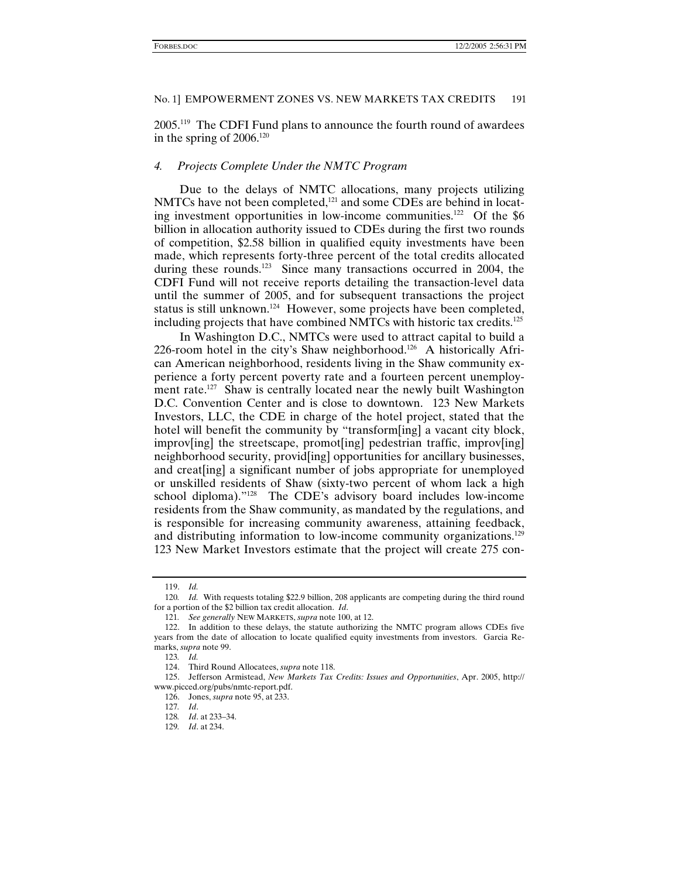2005.119 The CDFI Fund plans to announce the fourth round of awardees in the spring of  $2006$ <sup>120</sup>

#### *4. Projects Complete Under the NMTC Program*

Due to the delays of NMTC allocations, many projects utilizing NMTCs have not been completed,<sup>121</sup> and some CDEs are behind in locating investment opportunities in low-income communities.<sup>122</sup> Of the \$6 billion in allocation authority issued to CDEs during the first two rounds of competition, \$2.58 billion in qualified equity investments have been made, which represents forty-three percent of the total credits allocated during these rounds.<sup>123</sup> Since many transactions occurred in 2004, the CDFI Fund will not receive reports detailing the transaction-level data until the summer of 2005, and for subsequent transactions the project status is still unknown.<sup>124</sup> However, some projects have been completed, including projects that have combined NMTCs with historic tax credits.125

In Washington D.C., NMTCs were used to attract capital to build a 226-room hotel in the city's Shaw neighborhood.<sup>126</sup> A historically African American neighborhood, residents living in the Shaw community experience a forty percent poverty rate and a fourteen percent unemployment rate.<sup>127</sup> Shaw is centrally located near the newly built Washington D.C. Convention Center and is close to downtown. 123 New Markets Investors, LLC, the CDE in charge of the hotel project, stated that the hotel will benefit the community by "transform[ing] a vacant city block, improv[ing] the streetscape, promot[ing] pedestrian traffic, improv[ing] neighborhood security, provid[ing] opportunities for ancillary businesses, and creat[ing] a significant number of jobs appropriate for unemployed or unskilled residents of Shaw (sixty-two percent of whom lack a high school diploma)."<sup>128</sup> The CDE's advisory board includes low-income residents from the Shaw community, as mandated by the regulations, and is responsible for increasing community awareness, attaining feedback, and distributing information to low-income community organizations.<sup>129</sup> 123 New Market Investors estimate that the project will create 275 con-

 <sup>119.</sup> *Id.*

<sup>120</sup>*. Id.* With requests totaling \$22.9 billion, 208 applicants are competing during the third round for a portion of the \$2 billion tax credit allocation. *Id*.

<sup>121</sup>*. See generally* NEW MARKETS, *supra* note 100, at 12.

 <sup>122.</sup> In addition to these delays, the statute authorizing the NMTC program allows CDEs five years from the date of allocation to locate qualified equity investments from investors. Garcia Remarks, *supra* note 99.

<sup>123</sup>*. Id.*

 <sup>124.</sup> Third Round Allocatees, *supra* note 118.

 <sup>125.</sup> Jefferson Armistead, *New Markets Tax Credits: Issues and Opportunities*, Apr. 2005, http:// www.picced.org/pubs/nmtc-report.pdf.

 <sup>126.</sup> Jones, *supra* note 95, at 233.

<sup>127</sup>*. Id*.

<sup>128</sup>*. Id*. at 233–34.

<sup>129</sup>*. Id*. at 234.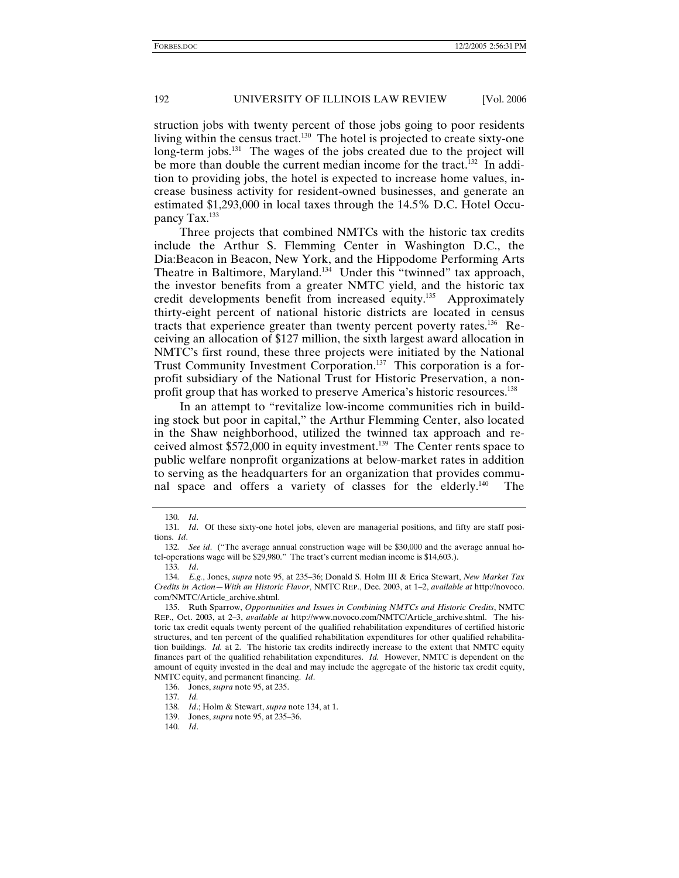struction jobs with twenty percent of those jobs going to poor residents living within the census tract.<sup>130</sup> The hotel is projected to create sixty-one long-term jobs.<sup>131</sup> The wages of the jobs created due to the project will be more than double the current median income for the tract.<sup>132</sup> In addition to providing jobs, the hotel is expected to increase home values, increase business activity for resident-owned businesses, and generate an estimated \$1,293,000 in local taxes through the 14.5% D.C. Hotel Occupancy Tax.133

Three projects that combined NMTCs with the historic tax credits include the Arthur S. Flemming Center in Washington D.C., the Dia:Beacon in Beacon, New York, and the Hippodome Performing Arts Theatre in Baltimore, Maryland.<sup>134</sup> Under this "twinned" tax approach, the investor benefits from a greater NMTC yield, and the historic tax credit developments benefit from increased equity.135 Approximately thirty-eight percent of national historic districts are located in census tracts that experience greater than twenty percent poverty rates.136 Receiving an allocation of \$127 million, the sixth largest award allocation in NMTC's first round, these three projects were initiated by the National Trust Community Investment Corporation.<sup>137</sup> This corporation is a forprofit subsidiary of the National Trust for Historic Preservation, a nonprofit group that has worked to preserve America's historic resources.<sup>138</sup>

In an attempt to "revitalize low-income communities rich in building stock but poor in capital," the Arthur Flemming Center, also located in the Shaw neighborhood, utilized the twinned tax approach and received almost \$572,000 in equity investment.139 The Center rents space to public welfare nonprofit organizations at below-market rates in addition to serving as the headquarters for an organization that provides communal space and offers a variety of classes for the elderly.<sup>140</sup> The

<sup>130</sup>*. Id*.

<sup>131</sup>*. Id*. Of these sixty-one hotel jobs, eleven are managerial positions, and fifty are staff positions. *Id*.

<sup>132</sup>*. See id*. ("The average annual construction wage will be \$30,000 and the average annual hotel-operations wage will be \$29,980." The tract's current median income is \$14,603.).

<sup>133</sup>*. Id*.

<sup>134</sup>*. E.g.*, Jones, *supra* note 95, at 235–36; Donald S. Holm III & Erica Stewart, *New Market Tax Credits in Action—With an Historic Flavor*, NMTC REP., Dec. 2003, at 1–2, *available at* http://novoco. com/NMTC/Article\_archive.shtml.

 <sup>135.</sup> Ruth Sparrow, *Opportunities and Issues in Combining NMTCs and Historic Credits*, NMTC REP., Oct. 2003, at 2–3, *available at* http://www.novoco.com/NMTC/Article\_archive.shtml. The historic tax credit equals twenty percent of the qualified rehabilitation expenditures of certified historic structures, and ten percent of the qualified rehabilitation expenditures for other qualified rehabilitation buildings. *Id.* at 2. The historic tax credits indirectly increase to the extent that NMTC equity finances part of the qualified rehabilitation expenditures. *Id.* However, NMTC is dependent on the amount of equity invested in the deal and may include the aggregate of the historic tax credit equity, NMTC equity, and permanent financing. *Id*.

 <sup>136.</sup> Jones, *supra* note 95, at 235.

<sup>137</sup>*. Id.*

<sup>138</sup>*. Id*.; Holm & Stewart, *supra* note 134, at 1.

 <sup>139.</sup> Jones, *supra* note 95, at 235–36.

<sup>140</sup>*. Id*.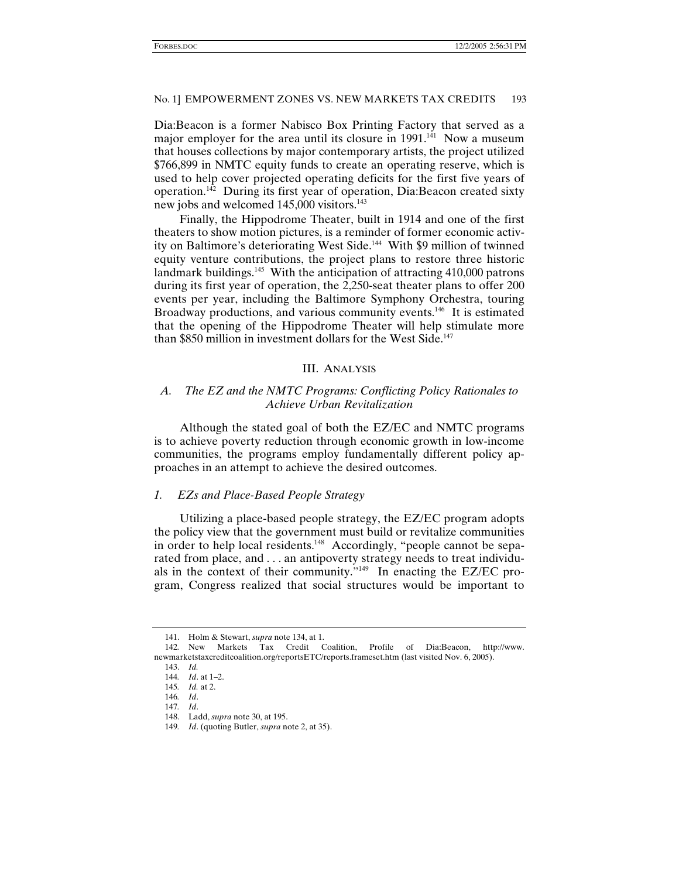Dia:Beacon is a former Nabisco Box Printing Factory that served as a major employer for the area until its closure in 1991.<sup>141</sup> Now a museum that houses collections by major contemporary artists, the project utilized \$766,899 in NMTC equity funds to create an operating reserve, which is used to help cover projected operating deficits for the first five years of operation.<sup>142</sup> During its first year of operation, Dia:Beacon created sixty new jobs and welcomed 145,000 visitors.<sup>143</sup>

Finally, the Hippodrome Theater, built in 1914 and one of the first theaters to show motion pictures, is a reminder of former economic activity on Baltimore's deteriorating West Side.<sup>144</sup> With \$9 million of twinned equity venture contributions, the project plans to restore three historic landmark buildings.<sup>145</sup> With the anticipation of attracting  $410,000$  patrons during its first year of operation, the 2,250-seat theater plans to offer 200 events per year, including the Baltimore Symphony Orchestra, touring Broadway productions, and various community events.<sup>146</sup> It is estimated that the opening of the Hippodrome Theater will help stimulate more than \$850 million in investment dollars for the West Side.<sup>147</sup>

## III. ANALYSIS

## *A. The EZ and the NMTC Programs: Conflicting Policy Rationales to Achieve Urban Revitalization*

Although the stated goal of both the EZ/EC and NMTC programs is to achieve poverty reduction through economic growth in low-income communities, the programs employ fundamentally different policy approaches in an attempt to achieve the desired outcomes.

#### *1. EZs and Place-Based People Strategy*

Utilizing a place-based people strategy, the EZ/EC program adopts the policy view that the government must build or revitalize communities in order to help local residents.<sup>148</sup> Accordingly, "people cannot be separated from place, and . . . an antipoverty strategy needs to treat individuals in the context of their community." $149$  In enacting the EZ/EC program, Congress realized that social structures would be important to

 <sup>141.</sup> Holm & Stewart, *supra* note 134, at 1.

<sup>142</sup>*.* New Markets Tax Credit Coalition, Profile of Dia:Beacon, http://www. newmarketstaxcreditcoalition.org/reportsETC/reports.frameset.htm (last visited Nov. 6, 2005).

 <sup>143.</sup> *Id.*

<sup>144</sup>*. Id*. at 1–2.

<sup>145</sup>*. Id.* at 2.

<sup>146</sup>*. Id*. 147*. Id*.

 <sup>148.</sup> Ladd, *supra* note 30, at 195.

<sup>149</sup>*. Id*. (quoting Butler, *supra* note 2, at 35).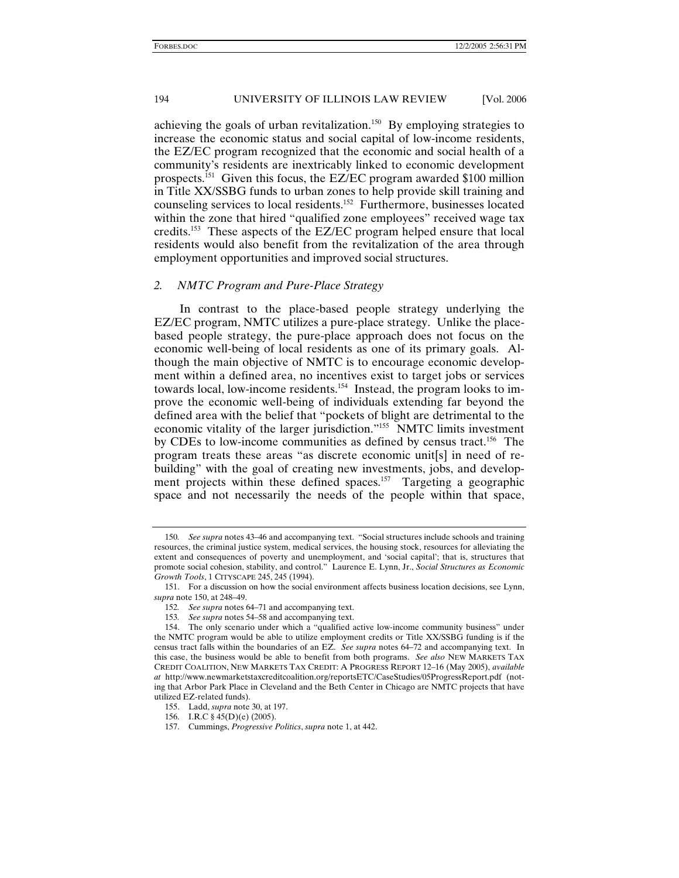achieving the goals of urban revitalization.150 By employing strategies to increase the economic status and social capital of low-income residents, the EZ/EC program recognized that the economic and social health of a community's residents are inextricably linked to economic development prospects.151 Given this focus, the EZ/EC program awarded \$100 million in Title XX/SSBG funds to urban zones to help provide skill training and counseling services to local residents.152 Furthermore, businesses located within the zone that hired "qualified zone employees" received wage tax credits.153 These aspects of the EZ/EC program helped ensure that local residents would also benefit from the revitalization of the area through employment opportunities and improved social structures.

## *2. NMTC Program and Pure-Place Strategy*

In contrast to the place-based people strategy underlying the EZ/EC program, NMTC utilizes a pure-place strategy. Unlike the placebased people strategy, the pure-place approach does not focus on the economic well-being of local residents as one of its primary goals. Although the main objective of NMTC is to encourage economic development within a defined area, no incentives exist to target jobs or services towards local, low-income residents.<sup>154</sup> Instead, the program looks to improve the economic well-being of individuals extending far beyond the defined area with the belief that "pockets of blight are detrimental to the economic vitality of the larger jurisdiction."155 NMTC limits investment by CDEs to low-income communities as defined by census tract.156 The program treats these areas "as discrete economic unit[s] in need of rebuilding" with the goal of creating new investments, jobs, and development projects within these defined spaces.<sup>157</sup> Targeting a geographic space and not necessarily the needs of the people within that space,

<sup>150</sup>*. See supra* notes 43–46 and accompanying text. "Social structures include schools and training resources, the criminal justice system, medical services, the housing stock, resources for alleviating the extent and consequences of poverty and unemployment, and 'social capital'; that is, structures that promote social cohesion, stability, and control." Laurence E. Lynn, Jr., *Social Structures as Economic Growth Tools*, 1 CITYSCAPE 245, 245 (1994).

 <sup>151.</sup> For a discussion on how the social environment affects business location decisions, see Lynn, *supra* note 150, at 248–49.

<sup>152</sup>*. See supra* notes 64–71 and accompanying text.

<sup>153</sup>*. See supra* notes 54–58 and accompanying text.

 <sup>154.</sup> The only scenario under which a "qualified active low-income community business" under the NMTC program would be able to utilize employment credits or Title XX/SSBG funding is if the census tract falls within the boundaries of an EZ. *See supra* notes 64–72 and accompanying text. In this case, the business would be able to benefit from both programs. *See also* NEW MARKETS TAX CREDIT COALITION, NEW MARKETS TAX CREDIT: A PROGRESS REPORT 12–16 (May 2005), *available at* http://www.newmarketstaxcreditcoalition.org/reportsETC/CaseStudies/05ProgressReport.pdf (noting that Arbor Park Place in Cleveland and the Beth Center in Chicago are NMTC projects that have utilized EZ-related funds).

 <sup>155.</sup> Ladd, *supra* note 30, at 197.

 <sup>156.</sup> I.R.C § 45(D)(e) (2005).

 <sup>157.</sup> Cummings, *Progressive Politics*, *supra* note 1, at 442.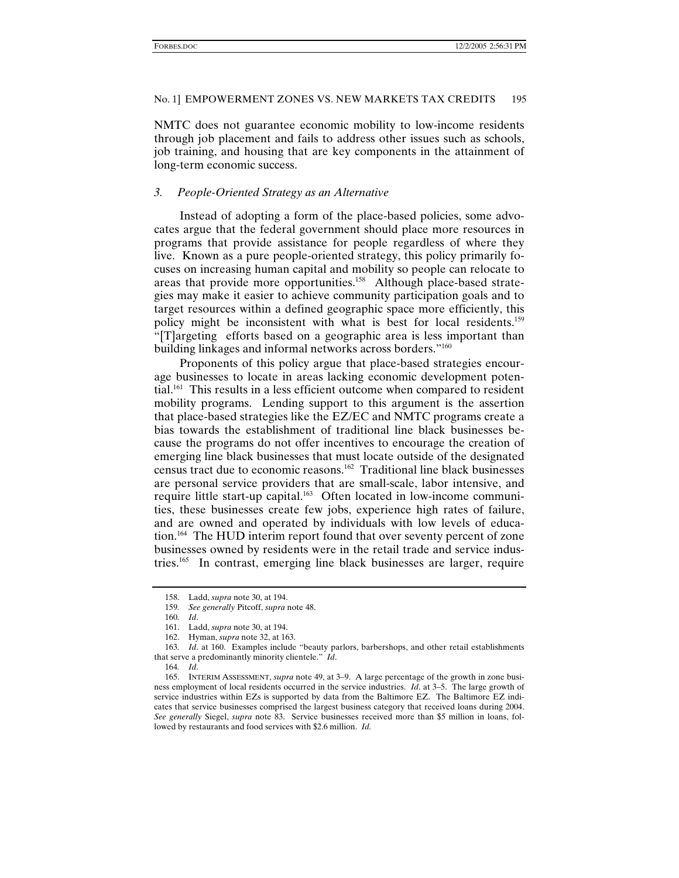NMTC does not guarantee economic mobility to low-income residents through job placement and fails to address other issues such as schools, job training, and housing that are key components in the attainment of long-term economic success.

#### *3. People-Oriented Strategy as an Alternative*

Instead of adopting a form of the place-based policies, some advocates argue that the federal government should place more resources in programs that provide assistance for people regardless of where they live. Known as a pure people-oriented strategy, this policy primarily focuses on increasing human capital and mobility so people can relocate to areas that provide more opportunities.<sup>158</sup> Although place-based strategies may make it easier to achieve community participation goals and to target resources within a defined geographic space more efficiently, this policy might be inconsistent with what is best for local residents.<sup>159</sup> "[T]argeting efforts based on a geographic area is less important than building linkages and informal networks across borders."160

Proponents of this policy argue that place-based strategies encourage businesses to locate in areas lacking economic development potential.161 This results in a less efficient outcome when compared to resident mobility programs. Lending support to this argument is the assertion that place-based strategies like the EZ/EC and NMTC programs create a bias towards the establishment of traditional line black businesses because the programs do not offer incentives to encourage the creation of emerging line black businesses that must locate outside of the designated census tract due to economic reasons.162 Traditional line black businesses are personal service providers that are small-scale, labor intensive, and require little start-up capital.<sup>163</sup> Often located in low-income communities, these businesses create few jobs, experience high rates of failure, and are owned and operated by individuals with low levels of education.<sup>164</sup> The HUD interim report found that over seventy percent of zone businesses owned by residents were in the retail trade and service industries.165 In contrast, emerging line black businesses are larger, require

 <sup>158.</sup> Ladd, *supra* note 30, at 194.

<sup>159</sup>*. See generally* Pitcoff, *supra* note 48.

<sup>160</sup>*. Id*.

 <sup>161.</sup> Ladd, *supra* note 30, at 194.

 <sup>162.</sup> Hyman, *supra* note 32, at 163.

<sup>163</sup>*. Id*. at 160. Examples include "beauty parlors, barbershops, and other retail establishments that serve a predominantly minority clientele." *Id*.

<sup>164</sup>*. Id*.

 <sup>165.</sup> INTERIM ASSESSMENT, *supra* note 49, at 3–9. A large percentage of the growth in zone business employment of local residents occurred in the service industries. *Id*. at 3–5. The large growth of service industries within EZs is supported by data from the Baltimore EZ. The Baltimore EZ indicates that service businesses comprised the largest business category that received loans during 2004. *See generally* Siegel, *supra* note 83. Service businesses received more than \$5 million in loans, followed by restaurants and food services with \$2.6 million. *Id.*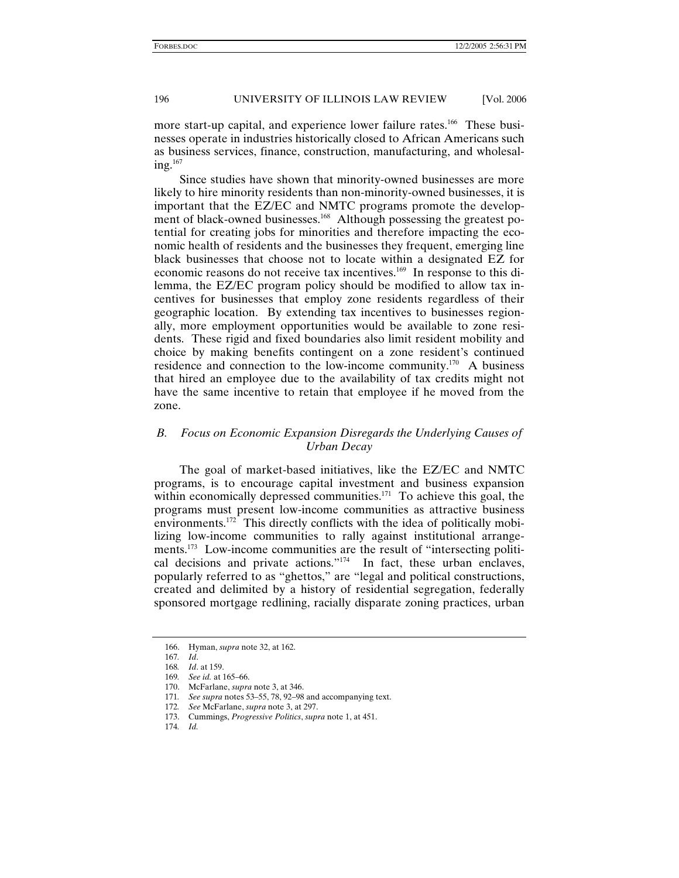more start-up capital, and experience lower failure rates.<sup>166</sup> These businesses operate in industries historically closed to African Americans such as business services, finance, construction, manufacturing, and wholesal $ing.<sup>167</sup>$ 

Since studies have shown that minority-owned businesses are more likely to hire minority residents than non-minority-owned businesses, it is important that the EZ/EC and NMTC programs promote the development of black-owned businesses.<sup>168</sup> Although possessing the greatest potential for creating jobs for minorities and therefore impacting the economic health of residents and the businesses they frequent, emerging line black businesses that choose not to locate within a designated EZ for economic reasons do not receive tax incentives.169 In response to this dilemma, the EZ/EC program policy should be modified to allow tax incentives for businesses that employ zone residents regardless of their geographic location. By extending tax incentives to businesses regionally, more employment opportunities would be available to zone residents. These rigid and fixed boundaries also limit resident mobility and choice by making benefits contingent on a zone resident's continued residence and connection to the low-income community.170 A business that hired an employee due to the availability of tax credits might not have the same incentive to retain that employee if he moved from the zone.

## *B. Focus on Economic Expansion Disregards the Underlying Causes of Urban Decay*

The goal of market-based initiatives, like the EZ/EC and NMTC programs, is to encourage capital investment and business expansion within economically depressed communities.<sup>171</sup> To achieve this goal, the programs must present low-income communities as attractive business environments.<sup>172</sup> This directly conflicts with the idea of politically mobilizing low-income communities to rally against institutional arrangements.<sup>173</sup> Low-income communities are the result of "intersecting political decisions and private actions."<sup>174</sup> In fact, these urban enclaves, popularly referred to as "ghettos," are "legal and political constructions, created and delimited by a history of residential segregation, federally sponsored mortgage redlining, racially disparate zoning practices, urban

 <sup>166.</sup> Hyman, *supra* note 32, at 162.

<sup>167</sup>*. Id*.

<sup>168</sup>*. Id*. at 159. 169*. See id.* at 165–66.

 <sup>170.</sup> McFarlane, *supra* note 3, at 346.

<sup>171</sup>*. See supra* notes 53–55, 78, 92–98 and accompanying text.

<sup>172</sup>*. See* McFarlane, *supra* note 3, at 297.

 <sup>173.</sup> Cummings, *Progressive Politics*, *supra* note 1, at 451.

<sup>174</sup>*. Id.*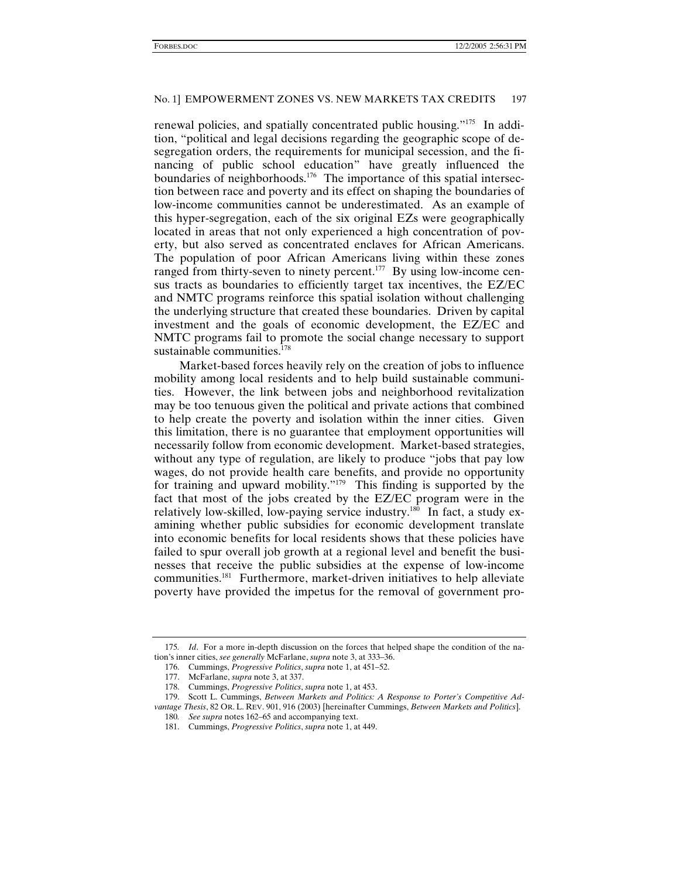renewal policies, and spatially concentrated public housing."175 In addition, "political and legal decisions regarding the geographic scope of desegregation orders, the requirements for municipal secession, and the financing of public school education" have greatly influenced the boundaries of neighborhoods.<sup>176</sup> The importance of this spatial intersection between race and poverty and its effect on shaping the boundaries of low-income communities cannot be underestimated. As an example of this hyper-segregation, each of the six original EZs were geographically located in areas that not only experienced a high concentration of poverty, but also served as concentrated enclaves for African Americans. The population of poor African Americans living within these zones ranged from thirty-seven to ninety percent.<sup>177</sup> By using low-income census tracts as boundaries to efficiently target tax incentives, the EZ/EC and NMTC programs reinforce this spatial isolation without challenging the underlying structure that created these boundaries. Driven by capital investment and the goals of economic development, the EZ/EC and NMTC programs fail to promote the social change necessary to support sustainable communities. $178$ 

Market-based forces heavily rely on the creation of jobs to influence mobility among local residents and to help build sustainable communities. However, the link between jobs and neighborhood revitalization may be too tenuous given the political and private actions that combined to help create the poverty and isolation within the inner cities. Given this limitation, there is no guarantee that employment opportunities will necessarily follow from economic development. Market-based strategies, without any type of regulation, are likely to produce "jobs that pay low wages, do not provide health care benefits, and provide no opportunity for training and upward mobility."179 This finding is supported by the fact that most of the jobs created by the EZ/EC program were in the relatively low-skilled, low-paying service industry.<sup>180</sup> In fact, a study examining whether public subsidies for economic development translate into economic benefits for local residents shows that these policies have failed to spur overall job growth at a regional level and benefit the businesses that receive the public subsidies at the expense of low-income communities.<sup>181</sup> Furthermore, market-driven initiatives to help alleviate poverty have provided the impetus for the removal of government pro-

<sup>175</sup>*. Id*. For a more in-depth discussion on the forces that helped shape the condition of the nation's inner cities, *see generally* McFarlane, *supra* note 3, at 333–36.

 <sup>176.</sup> Cummings, *Progressive Politics*, *supra* note 1, at 451–52.

 <sup>177.</sup> McFarlane, *supra* note 3, at 337.

 <sup>178.</sup> Cummings, *Progressive Politics*, *supra* note 1, at 453.

 <sup>179.</sup> Scott L. Cummings, *Between Markets and Politics: A Response to Porter's Competitive Advantage Thesis*, 82 OR. L. REV. 901, 916 (2003) [hereinafter Cummings, *Between Markets and Politics*].

<sup>180</sup>*. See supra* notes 162–65 and accompanying text.

 <sup>181.</sup> Cummings, *Progressive Politics*, *supra* note 1, at 449.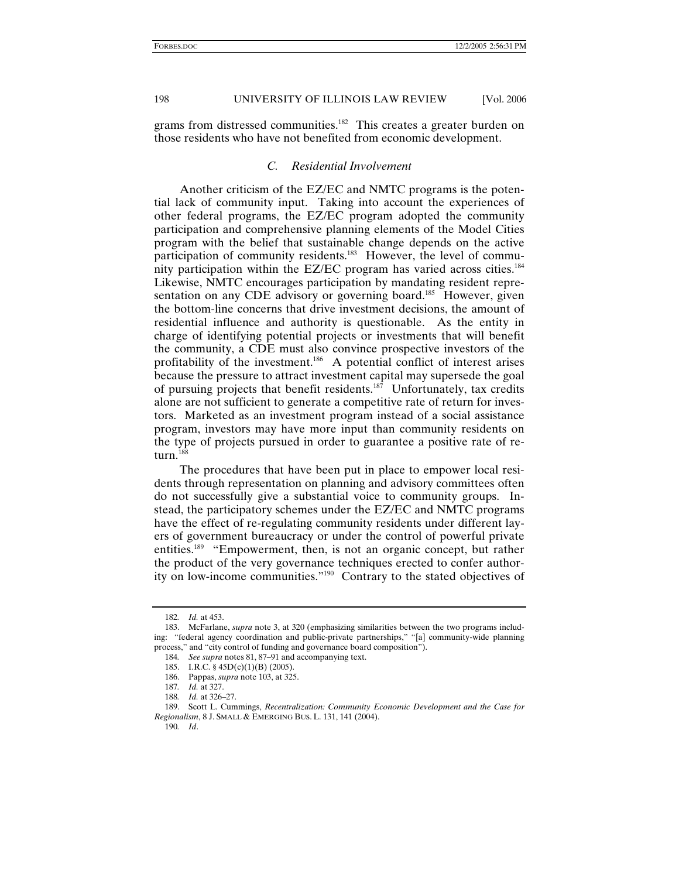grams from distressed communities.<sup>182</sup> This creates a greater burden on those residents who have not benefited from economic development.

#### *C. Residential Involvement*

Another criticism of the EZ/EC and NMTC programs is the potential lack of community input. Taking into account the experiences of other federal programs, the EZ/EC program adopted the community participation and comprehensive planning elements of the Model Cities program with the belief that sustainable change depends on the active participation of community residents.<sup>183</sup> However, the level of community participation within the EZ/EC program has varied across cities.<sup>184</sup> Likewise, NMTC encourages participation by mandating resident representation on any CDE advisory or governing board.<sup>185</sup> However, given the bottom-line concerns that drive investment decisions, the amount of residential influence and authority is questionable. As the entity in charge of identifying potential projects or investments that will benefit the community, a CDE must also convince prospective investors of the profitability of the investment.<sup>186</sup> A potential conflict of interest arises because the pressure to attract investment capital may supersede the goal of pursuing projects that benefit residents.187 Unfortunately, tax credits alone are not sufficient to generate a competitive rate of return for investors. Marketed as an investment program instead of a social assistance program, investors may have more input than community residents on the type of projects pursued in order to guarantee a positive rate of return.<sup>188</sup>

The procedures that have been put in place to empower local residents through representation on planning and advisory committees often do not successfully give a substantial voice to community groups. Instead, the participatory schemes under the EZ/EC and NMTC programs have the effect of re-regulating community residents under different layers of government bureaucracy or under the control of powerful private entities.<sup>189</sup> "Empowerment, then, is not an organic concept, but rather the product of the very governance techniques erected to confer authority on low-income communities."190 Contrary to the stated objectives of

<sup>182</sup>*. Id.* at 453.

 <sup>183.</sup> McFarlane, *supra* note 3, at 320 (emphasizing similarities between the two programs including: "federal agency coordination and public-private partnerships," "[a] community-wide planning process," and "city control of funding and governance board composition").

<sup>184</sup>*. See supra* notes 81, 87–91 and accompanying text.

 <sup>185.</sup> I.R.C. § 45D(c)(1)(B) (2005).

 <sup>186.</sup> Pappas, *supra* note 103, at 325.

<sup>187</sup>*. Id.* at 327.

<sup>188</sup>*. Id.* at 326–27.

 <sup>189.</sup> Scott L. Cummings, *Recentralization: Community Economic Development and the Case for Regionalism*, 8 J. SMALL & EMERGING BUS. L. 131, 141 (2004).

<sup>190</sup>*. Id*.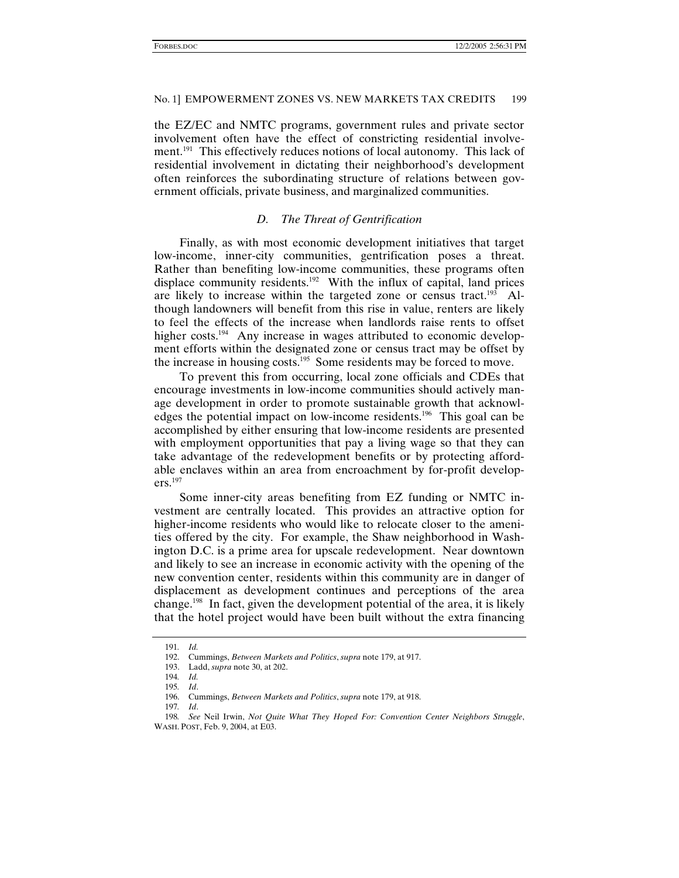the EZ/EC and NMTC programs, government rules and private sector involvement often have the effect of constricting residential involvement.<sup>191</sup> This effectively reduces notions of local autonomy. This lack of residential involvement in dictating their neighborhood's development often reinforces the subordinating structure of relations between government officials, private business, and marginalized communities.

#### *D. The Threat of Gentrification*

Finally, as with most economic development initiatives that target low-income, inner-city communities, gentrification poses a threat. Rather than benefiting low-income communities, these programs often displace community residents.<sup>192</sup> With the influx of capital, land prices are likely to increase within the targeted zone or census tract.<sup>193</sup> Although landowners will benefit from this rise in value, renters are likely to feel the effects of the increase when landlords raise rents to offset higher costs.<sup>194</sup> Any increase in wages attributed to economic development efforts within the designated zone or census tract may be offset by the increase in housing costs.<sup>195</sup> Some residents may be forced to move.

To prevent this from occurring, local zone officials and CDEs that encourage investments in low-income communities should actively manage development in order to promote sustainable growth that acknowledges the potential impact on low-income residents.196 This goal can be accomplished by either ensuring that low-income residents are presented with employment opportunities that pay a living wage so that they can take advantage of the redevelopment benefits or by protecting affordable enclaves within an area from encroachment by for-profit developers.197

Some inner-city areas benefiting from EZ funding or NMTC investment are centrally located. This provides an attractive option for higher-income residents who would like to relocate closer to the amenities offered by the city. For example, the Shaw neighborhood in Washington D.C. is a prime area for upscale redevelopment. Near downtown and likely to see an increase in economic activity with the opening of the new convention center, residents within this community are in danger of displacement as development continues and perceptions of the area change.198 In fact, given the development potential of the area, it is likely that the hotel project would have been built without the extra financing

<sup>191</sup>*. Id.*

 <sup>192.</sup> Cummings, *Between Markets and Politics*, *supra* note 179, at 917.

 <sup>193.</sup> Ladd, *supra* note 30, at 202.

<sup>194</sup>*. Id.*

<sup>195</sup>*. Id*.

 <sup>196.</sup> Cummings, *Between Markets and Politics*, *supra* note 179, at 918.

<sup>197</sup>*. Id*.

<sup>198</sup>*. See* Neil Irwin, *Not Quite What They Hoped For: Convention Center Neighbors Struggle*, WASH. POST, Feb. 9, 2004, at E03.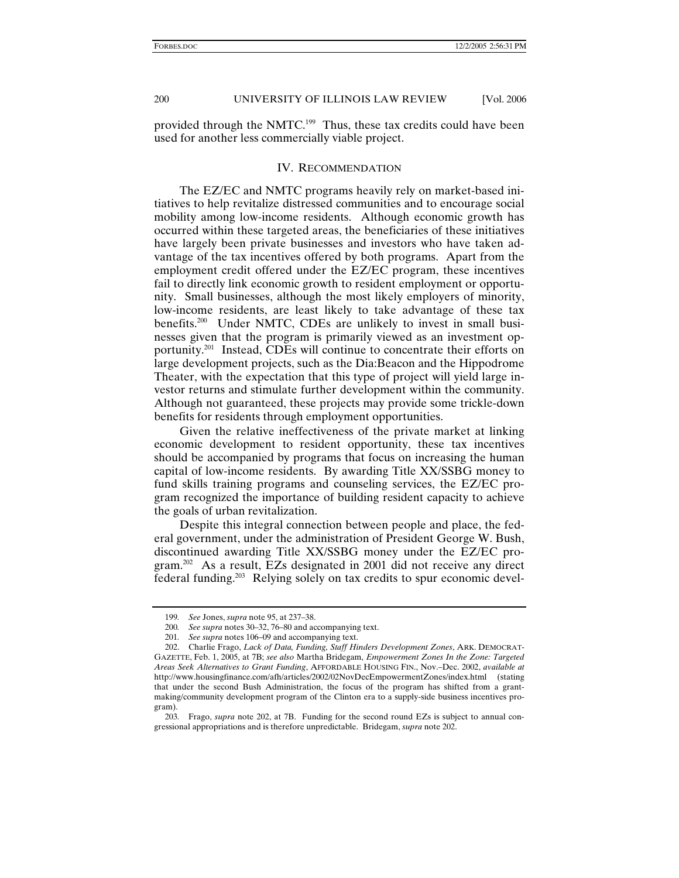provided through the NMTC.199 Thus, these tax credits could have been used for another less commercially viable project.

## IV. RECOMMENDATION

The EZ/EC and NMTC programs heavily rely on market-based initiatives to help revitalize distressed communities and to encourage social mobility among low-income residents. Although economic growth has occurred within these targeted areas, the beneficiaries of these initiatives have largely been private businesses and investors who have taken advantage of the tax incentives offered by both programs. Apart from the employment credit offered under the EZ/EC program, these incentives fail to directly link economic growth to resident employment or opportunity. Small businesses, although the most likely employers of minority, low-income residents, are least likely to take advantage of these tax benefits.<sup>200</sup> Under NMTC, CDEs are unlikely to invest in small businesses given that the program is primarily viewed as an investment opportunity.201 Instead, CDEs will continue to concentrate their efforts on large development projects, such as the Dia:Beacon and the Hippodrome Theater, with the expectation that this type of project will yield large investor returns and stimulate further development within the community. Although not guaranteed, these projects may provide some trickle-down benefits for residents through employment opportunities.

Given the relative ineffectiveness of the private market at linking economic development to resident opportunity, these tax incentives should be accompanied by programs that focus on increasing the human capital of low-income residents. By awarding Title XX/SSBG money to fund skills training programs and counseling services, the EZ/EC program recognized the importance of building resident capacity to achieve the goals of urban revitalization.

Despite this integral connection between people and place, the federal government, under the administration of President George W. Bush, discontinued awarding Title XX/SSBG money under the EZ/EC program.202 As a result, EZs designated in 2001 did not receive any direct federal funding.203 Relying solely on tax credits to spur economic devel-

<sup>199</sup>*. See* Jones, *supra* note 95, at 237–38.

<sup>200</sup>*. See supra* notes 30–32, 76–80 and accompanying text.

<sup>201</sup>*. See supra* notes 106–09 and accompanying text.

 <sup>202.</sup> Charlie Frago, *Lack of Data, Funding, Staff Hinders Development Zones*, ARK. DEMOCRAT-GAZETTE, Feb. 1, 2005, at 7B; *see also* Martha Bridegam, *Empowerment Zones In the Zone: Targeted Areas Seek Alternatives to Grant Funding*, AFFORDABLE HOUSING FIN., Nov.–Dec. 2002, *available at* http://www.housingfinance.com/afh/articles/2002/02NovDecEmpowermentZones/index.html (stating that under the second Bush Administration, the focus of the program has shifted from a grantmaking/community development program of the Clinton era to a supply-side business incentives program).

<sup>203</sup>*.* Frago, *supra* note 202, at 7B. Funding for the second round EZs is subject to annual congressional appropriations and is therefore unpredictable. Bridegam, *supra* note 202.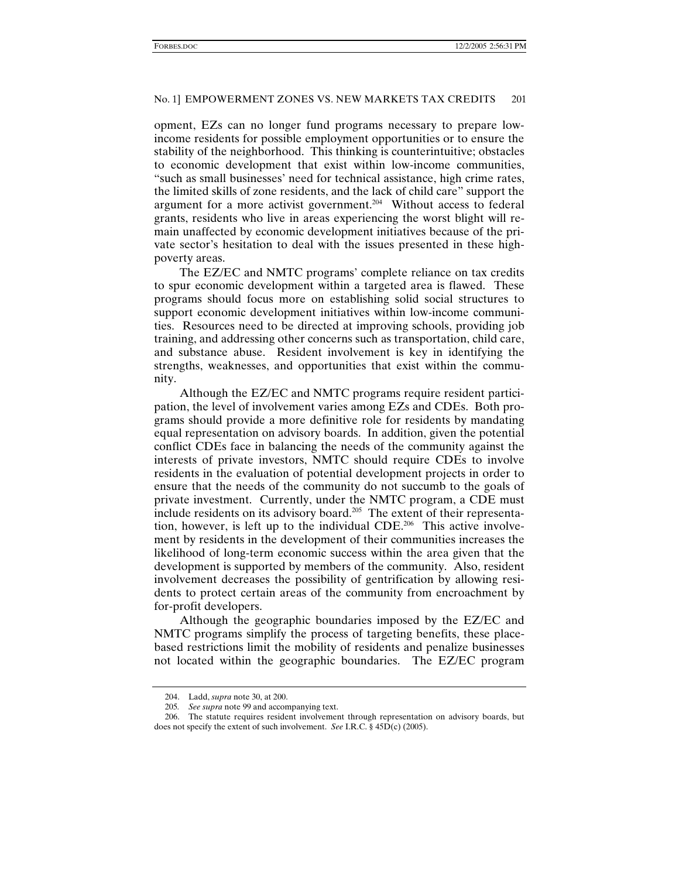opment, EZs can no longer fund programs necessary to prepare lowincome residents for possible employment opportunities or to ensure the stability of the neighborhood. This thinking is counterintuitive; obstacles to economic development that exist within low-income communities, "such as small businesses' need for technical assistance, high crime rates, the limited skills of zone residents, and the lack of child care" support the argument for a more activist government.<sup>204</sup> Without access to federal grants, residents who live in areas experiencing the worst blight will remain unaffected by economic development initiatives because of the private sector's hesitation to deal with the issues presented in these highpoverty areas.

The EZ/EC and NMTC programs' complete reliance on tax credits to spur economic development within a targeted area is flawed. These programs should focus more on establishing solid social structures to support economic development initiatives within low-income communities. Resources need to be directed at improving schools, providing job training, and addressing other concerns such as transportation, child care, and substance abuse. Resident involvement is key in identifying the strengths, weaknesses, and opportunities that exist within the community.

Although the EZ/EC and NMTC programs require resident participation, the level of involvement varies among EZs and CDEs. Both programs should provide a more definitive role for residents by mandating equal representation on advisory boards. In addition, given the potential conflict CDEs face in balancing the needs of the community against the interests of private investors, NMTC should require CDEs to involve residents in the evaluation of potential development projects in order to ensure that the needs of the community do not succumb to the goals of private investment. Currently, under the NMTC program, a CDE must include residents on its advisory board.<sup>205</sup> The extent of their representation, however, is left up to the individual CDE.<sup>206</sup> This active involvement by residents in the development of their communities increases the likelihood of long-term economic success within the area given that the development is supported by members of the community. Also, resident involvement decreases the possibility of gentrification by allowing residents to protect certain areas of the community from encroachment by for-profit developers.

Although the geographic boundaries imposed by the EZ/EC and NMTC programs simplify the process of targeting benefits, these placebased restrictions limit the mobility of residents and penalize businesses not located within the geographic boundaries. The EZ/EC program

 <sup>204.</sup> Ladd, *supra* note 30, at 200.

<sup>205</sup>*. See supra* note 99 and accompanying text.

 <sup>206.</sup> The statute requires resident involvement through representation on advisory boards, but does not specify the extent of such involvement. *See* I.R.C. § 45D(c) (2005).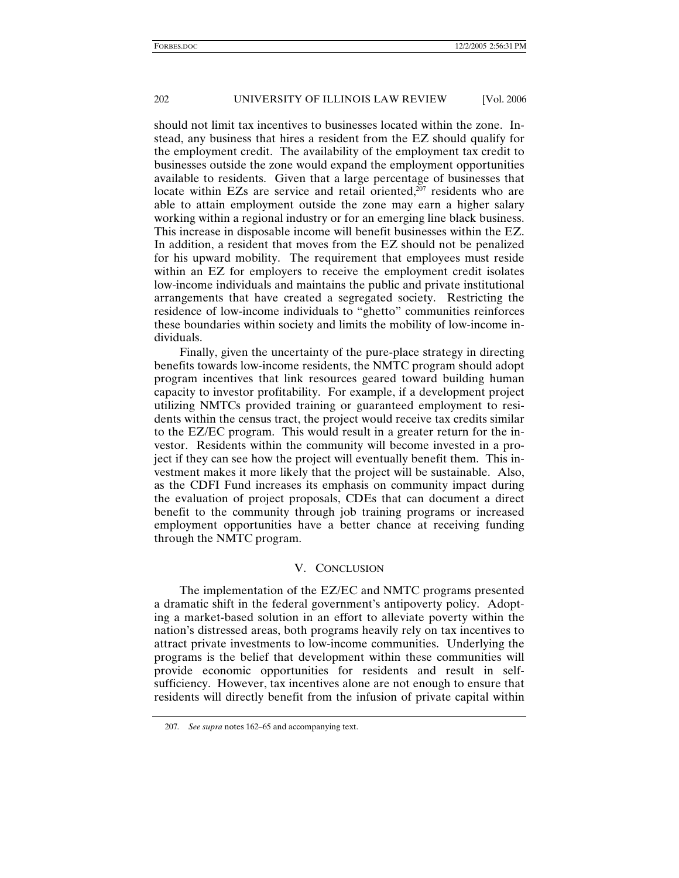should not limit tax incentives to businesses located within the zone. Instead, any business that hires a resident from the EZ should qualify for the employment credit. The availability of the employment tax credit to businesses outside the zone would expand the employment opportunities available to residents. Given that a large percentage of businesses that locate within EZs are service and retail oriented, $207$  residents who are able to attain employment outside the zone may earn a higher salary working within a regional industry or for an emerging line black business. This increase in disposable income will benefit businesses within the EZ. In addition, a resident that moves from the EZ should not be penalized for his upward mobility. The requirement that employees must reside within an EZ for employers to receive the employment credit isolates low-income individuals and maintains the public and private institutional arrangements that have created a segregated society. Restricting the residence of low-income individuals to "ghetto" communities reinforces these boundaries within society and limits the mobility of low-income individuals.

Finally, given the uncertainty of the pure-place strategy in directing benefits towards low-income residents, the NMTC program should adopt program incentives that link resources geared toward building human capacity to investor profitability. For example, if a development project utilizing NMTCs provided training or guaranteed employment to residents within the census tract, the project would receive tax credits similar to the EZ/EC program. This would result in a greater return for the investor. Residents within the community will become invested in a project if they can see how the project will eventually benefit them. This investment makes it more likely that the project will be sustainable. Also, as the CDFI Fund increases its emphasis on community impact during the evaluation of project proposals, CDEs that can document a direct benefit to the community through job training programs or increased employment opportunities have a better chance at receiving funding through the NMTC program.

## V. CONCLUSION

The implementation of the EZ/EC and NMTC programs presented a dramatic shift in the federal government's antipoverty policy. Adopting a market-based solution in an effort to alleviate poverty within the nation's distressed areas, both programs heavily rely on tax incentives to attract private investments to low-income communities. Underlying the programs is the belief that development within these communities will provide economic opportunities for residents and result in selfsufficiency. However, tax incentives alone are not enough to ensure that residents will directly benefit from the infusion of private capital within

<sup>207</sup>*. See supra* notes 162–65 and accompanying text.